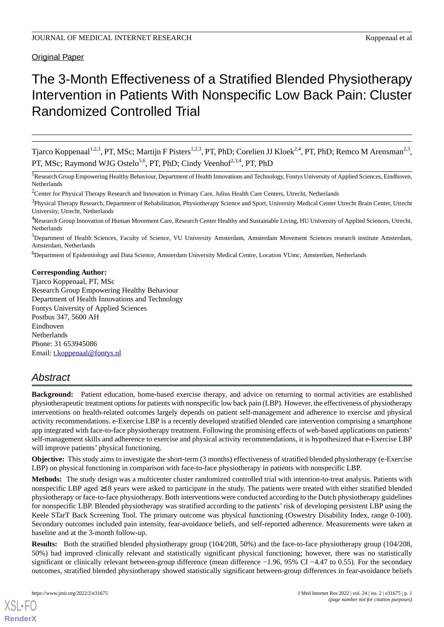Original Paper

# The 3-Month Effectiveness of a Stratified Blended Physiotherapy Intervention in Patients With Nonspecific Low Back Pain: Cluster Randomized Controlled Trial

Tjarco Koppenaal<sup>1,2,3</sup>, PT, MSc; Martijn F Pisters<sup>1,2,3</sup>, PT, PhD; Corelien JJ Kloek<sup>2,4</sup>, PT, PhD; Remco M Arensman<sup>2,3</sup>, PT, MSc; Raymond WJG Ostelo<sup>5,6</sup>, PT, PhD; Cindy Veenhof<sup>2,3,4</sup>, PT, PhD

<sup>1</sup>Research Group Empowering Healthy Behaviour, Department of Health Innovations and Technology, Fontys University of Applied Sciences, Eindhoven, Netherlands

<sup>6</sup>Department of Epidemiology and Data Science, Amsterdam University Medical Centre, Location VUmc, Amsterdam, Netherlands

# **Corresponding Author:**

Tjarco Koppenaal, PT, MSc Research Group Empowering Healthy Behaviour Department of Health Innovations and Technology Fontys University of Applied Sciences Postbus 347, 5600 AH Eindhoven **Netherlands** Phone: 31 653945086 Email: [t.koppenaal@fontys.nl](mailto:t.koppenaal@fontys.nl)

# *Abstract*

**Background:** Patient education, home-based exercise therapy, and advice on returning to normal activities are established physiotherapeutic treatment options for patients with nonspecific low back pain (LBP). However, the effectiveness of physiotherapy interventions on health-related outcomes largely depends on patient self-management and adherence to exercise and physical activity recommendations. e-Exercise LBP is a recently developed stratified blended care intervention comprising a smartphone app integrated with face-to-face physiotherapy treatment. Following the promising effects of web-based applications on patients' self-management skills and adherence to exercise and physical activity recommendations, it is hypothesized that e-Exercise LBP will improve patients' physical functioning.

**Objective:** This study aims to investigate the short-term (3 months) effectiveness of stratified blended physiotherapy (e-Exercise LBP) on physical functioning in comparison with face-to-face physiotherapy in patients with nonspecific LBP.

**Methods:** The study design was a multicenter cluster randomized controlled trial with intention-to-treat analysis. Patients with nonspecific LBP aged ≥18 years were asked to participate in the study. The patients were treated with either stratified blended physiotherapy or face-to-face physiotherapy. Both interventions were conducted according to the Dutch physiotherapy guidelines for nonspecific LBP. Blended physiotherapy was stratified according to the patients' risk of developing persistent LBP using the Keele STarT Back Screening Tool. The primary outcome was physical functioning (Oswestry Disability Index, range 0-100). Secondary outcomes included pain intensity, fear-avoidance beliefs, and self-reported adherence. Measurements were taken at baseline and at the 3-month follow-up.

**Results:** Both the stratified blended physiotherapy group (104/208, 50%) and the face-to-face physiotherapy group (104/208, 50%) had improved clinically relevant and statistically significant physical functioning; however, there was no statistically significant or clinically relevant between-group difference (mean difference −1.96, 95% CI −4.47 to 0.55). For the secondary outcomes, stratified blended physiotherapy showed statistically significant between-group differences in fear-avoidance beliefs

<sup>&</sup>lt;sup>2</sup>Center for Physical Therapy Research and Innovation in Primary Care, Julius Health Care Centers, Utrecht, Netherlands

<sup>&</sup>lt;sup>3</sup>Physical Therapy Research, Department of Rehabilitation, Physiotherapy Science and Sport, University Medical Center Utrecht Brain Center, Utrecht University, Utrecht, Netherlands

<sup>&</sup>lt;sup>4</sup>Research Group Innovation of Human Movement Care, Research Center Healthy and Sustainable Living, HU University of Applied Sciences, Utrecht, Netherlands

<sup>5</sup>Department of Health Sciences, Faculty of Science, VU University Amsterdam, Amsterdam Movement Sciences research institute Amsterdam, Amsterdam, Netherlands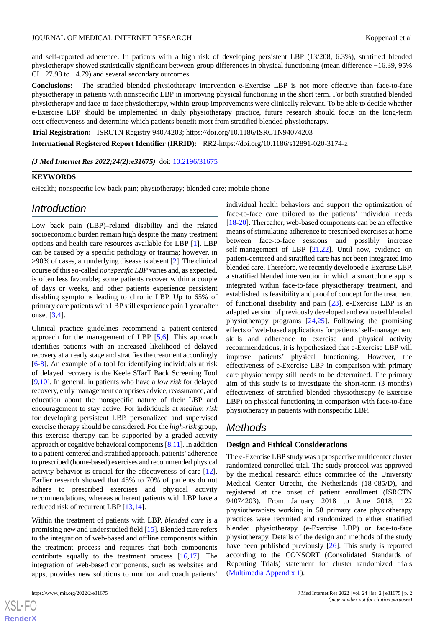and self-reported adherence. In patients with a high risk of developing persistent LBP (13/208, 6.3%), stratified blended physiotherapy showed statistically significant between-group differences in physical functioning (mean difference −16.39, 95% CI −27.98 to −4.79) and several secondary outcomes.

**Conclusions:** The stratified blended physiotherapy intervention e-Exercise LBP is not more effective than face-to-face physiotherapy in patients with nonspecific LBP in improving physical functioning in the short term. For both stratified blended physiotherapy and face-to-face physiotherapy, within-group improvements were clinically relevant. To be able to decide whether e-Exercise LBP should be implemented in daily physiotherapy practice, future research should focus on the long-term cost-effectiveness and determine which patients benefit most from stratified blended physiotherapy.

**Trial Registration:** ISRCTN Registry 94074203; https://doi.org/10.1186/ISRCTN94074203

**International Registered Report Identifier (IRRID):** RR2-https://doi.org/10.1186/s12891-020-3174-z

*(J Med Internet Res 2022;24(2):e31675)* doi:  $10.2196/31675$ 

### **KEYWORDS**

eHealth; nonspecific low back pain; physiotherapy; blended care; mobile phone

# *Introduction*

Low back pain (LBP)–related disability and the related socioeconomic burden remain high despite the many treatment options and health care resources available for LBP [\[1](#page-12-0)]. LBP can be caused by a specific pathology or trauma; however, in >90% of cases, an underlying disease is absent [[2\]](#page-12-1). The clinical course of this so-called *nonspecific LBP* varies and, as expected, is often less favorable; some patients recover within a couple of days or weeks, and other patients experience persistent disabling symptoms leading to chronic LBP. Up to 65% of primary care patients with LBP still experience pain 1 year after onset [[3](#page-12-2),[4\]](#page-12-3).

Clinical practice guidelines recommend a patient-centered approach for the management of LBP [\[5](#page-12-4),[6\]](#page-12-5). This approach identifies patients with an increased likelihood of delayed recovery at an early stage and stratifies the treatment accordingly [[6](#page-12-5)[-8](#page-12-6)]. An example of a tool for identifying individuals at risk of delayed recovery is the Keele STarT Back Screening Tool [[9](#page-12-7)[,10](#page-12-8)]. In general, in patients who have a *low risk* for delayed recovery, early management comprises advice, reassurance, and education about the nonspecific nature of their LBP and encouragement to stay active. For individuals at *medium risk* for developing persistent LBP, personalized and supervised exercise therapy should be considered. For the *high-risk* group, this exercise therapy can be supported by a graded activity approach or cognitive behavioral components [\[8](#page-12-6),[11\]](#page-12-9). In addition to a patient-centered and stratified approach, patients' adherence to prescribed (home-based) exercises and recommended physical activity behavior is crucial for the effectiveness of care [[12\]](#page-12-10). Earlier research showed that 45% to 70% of patients do not adhere to prescribed exercises and physical activity recommendations, whereas adherent patients with LBP have a reduced risk of recurrent LBP [[13](#page-12-11)[,14](#page-12-12)].

Within the treatment of patients with LBP, *blended care* is a promising new and understudied field [\[15](#page-12-13)]. Blended care refers to the integration of web-based and offline components within the treatment process and requires that both components contribute equally to the treatment process [\[16](#page-12-14),[17\]](#page-12-15). The integration of web-based components, such as websites and apps, provides new solutions to monitor and coach patients'

individual health behaviors and support the optimization of face-to-face care tailored to the patients' individual needs [[18](#page-13-0)[-20](#page-13-1)]. Thereafter, web-based components can be an effective means of stimulating adherence to prescribed exercises at home between face-to-face sessions and possibly increase self-management of LBP [\[21](#page-13-2),[22\]](#page-13-3). Until now, evidence on patient-centered and stratified care has not been integrated into blended care. Therefore, we recently developed e-Exercise LBP, a stratified blended intervention in which a smartphone app is integrated within face-to-face physiotherapy treatment, and established its feasibility and proof of concept for the treatment of functional disability and pain [[23\]](#page-13-4). e-Exercise LBP is an adapted version of previously developed and evaluated blended physiotherapy programs [\[24](#page-13-5),[25\]](#page-13-6). Following the promising effects of web-based applications for patients'self-management skills and adherence to exercise and physical activity recommendations, it is hypothesized that e-Exercise LBP will improve patients' physical functioning. However, the effectiveness of e-Exercise LBP in comparison with primary care physiotherapy still needs to be determined. The primary aim of this study is to investigate the short-term (3 months) effectiveness of stratified blended physiotherapy (e-Exercise LBP) on physical functioning in comparison with face-to-face physiotherapy in patients with nonspecific LBP.

# *Methods*

# **Design and Ethical Considerations**

The e-Exercise LBP study was a prospective multicenter cluster randomized controlled trial. The study protocol was approved by the medical research ethics committee of the University Medical Center Utrecht, the Netherlands (18-085/D), and registered at the onset of patient enrollment (ISRCTN 94074203). From January 2018 to June 2018, 122 physiotherapists working in 58 primary care physiotherapy practices were recruited and randomized to either stratified blended physiotherapy (e-Exercise LBP) or face-to-face physiotherapy. Details of the design and methods of the study have been published previously [\[26](#page-13-7)]. This study is reported according to the CONSORT (Consolidated Standards of Reporting Trials) statement for cluster randomized trials ([Multimedia Appendix 1](#page-12-16)).

```
XS\cdotFC
RenderX
```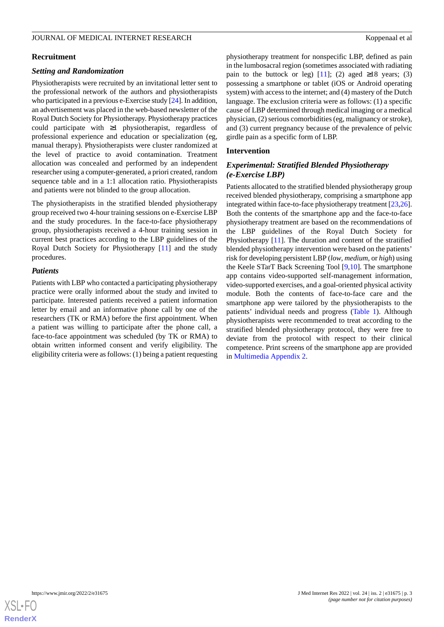### JOURNAL OF MEDICAL INTERNET RESEARCH KOPPEN ASSESSED AND THE RESEARCH Koppenaal et al.

# **Recruitment**

# *Setting and Randomization*

Physiotherapists were recruited by an invitational letter sent to the professional network of the authors and physiotherapists who participated in a previous e-Exercise study [[24\]](#page-13-5). In addition, an advertisement was placed in the web-based newsletter of the Royal Dutch Society for Physiotherapy. Physiotherapy practices could participate with ≥1 physiotherapist, regardless of professional experience and education or specialization (eg, manual therapy). Physiotherapists were cluster randomized at the level of practice to avoid contamination. Treatment allocation was concealed and performed by an independent researcher using a computer-generated, a priori created, random sequence table and in a 1:1 allocation ratio. Physiotherapists and patients were not blinded to the group allocation.

The physiotherapists in the stratified blended physiotherapy group received two 4-hour training sessions on e-Exercise LBP and the study procedures. In the face-to-face physiotherapy group, physiotherapists received a 4-hour training session in current best practices according to the LBP guidelines of the Royal Dutch Society for Physiotherapy [\[11](#page-12-9)] and the study procedures.

# *Patients*

Patients with LBP who contacted a participating physiotherapy practice were orally informed about the study and invited to participate. Interested patients received a patient information letter by email and an informative phone call by one of the researchers (TK or RMA) before the first appointment. When a patient was willing to participate after the phone call, a face-to-face appointment was scheduled (by TK or RMA) to obtain written informed consent and verify eligibility. The eligibility criteria were as follows: (1) being a patient requesting physiotherapy treatment for nonspecific LBP, defined as pain in the lumbosacral region (sometimes associated with radiating pain to the buttock or leg) [\[11](#page-12-9)]; (2) aged  $\geq 18$  years; (3) possessing a smartphone or tablet (iOS or Android operating system) with access to the internet; and (4) mastery of the Dutch language. The exclusion criteria were as follows: (1) a specific cause of LBP determined through medical imaging or a medical physician, (2) serious comorbidities (eg, malignancy or stroke), and (3) current pregnancy because of the prevalence of pelvic girdle pain as a specific form of LBP.

# **Intervention**

# *Experimental: Stratified Blended Physiotherapy (e-Exercise LBP)*

Patients allocated to the stratified blended physiotherapy group received blended physiotherapy, comprising a smartphone app integrated within face-to-face physiotherapy treatment [\[23](#page-13-4),[26\]](#page-13-7). Both the contents of the smartphone app and the face-to-face physiotherapy treatment are based on the recommendations of the LBP guidelines of the Royal Dutch Society for Physiotherapy [\[11](#page-12-9)]. The duration and content of the stratified blended physiotherapy intervention were based on the patients' risk for developing persistent LBP (*low*, *medium,* or *high*) using the Keele STarT Back Screening Tool [[9](#page-12-7)[,10](#page-12-8)]. The smartphone app contains video-supported self-management information, video-supported exercises, and a goal-oriented physical activity module. Both the contents of face-to-face care and the smartphone app were tailored by the physiotherapists to the patients' individual needs and progress ([Table 1\)](#page-3-0). Although physiotherapists were recommended to treat according to the stratified blended physiotherapy protocol, they were free to deviate from the protocol with respect to their clinical competence. Print screens of the smartphone app are provided in [Multimedia Appendix 2](#page-12-17).

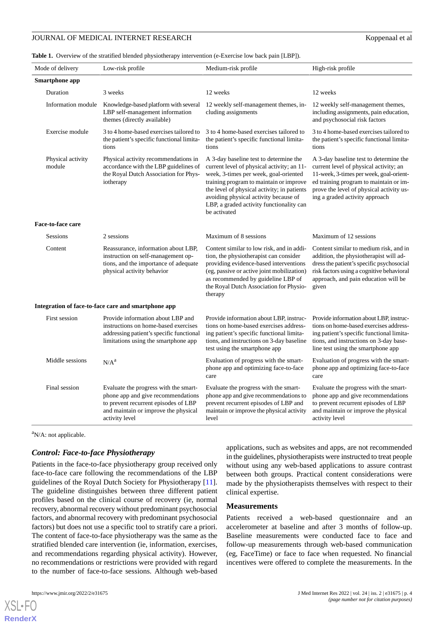# JOURNAL OF MEDICAL INTERNET RESEARCH Koppenaal et al

<span id="page-3-0"></span>**Table 1.** Overview of the stratified blended physiotherapy intervention (e-Exercise low back pain [LBP]).

| Mode of delivery            | Low-risk profile                                                                                                                                                              | Medium-risk profile                                                                                                                                                                                                                                                                                                          | High-risk profile                                                                                                                                                                                                                                   |
|-----------------------------|-------------------------------------------------------------------------------------------------------------------------------------------------------------------------------|------------------------------------------------------------------------------------------------------------------------------------------------------------------------------------------------------------------------------------------------------------------------------------------------------------------------------|-----------------------------------------------------------------------------------------------------------------------------------------------------------------------------------------------------------------------------------------------------|
| <b>Smartphone app</b>       |                                                                                                                                                                               |                                                                                                                                                                                                                                                                                                                              |                                                                                                                                                                                                                                                     |
| Duration                    | 3 weeks                                                                                                                                                                       | 12 weeks                                                                                                                                                                                                                                                                                                                     | 12 weeks                                                                                                                                                                                                                                            |
|                             | Information module Knowledge-based platform with several<br>LBP self-management information<br>themes (directly available)                                                    | 12 weekly self-management themes, in-<br>cluding assignments                                                                                                                                                                                                                                                                 | 12 weekly self-management themes,<br>including assignments, pain education,<br>and psychosocial risk factors                                                                                                                                        |
| Exercise module             | 3 to 4 home-based exercises tailored to<br>the patient's specific functional limita-<br>tions                                                                                 | 3 to 4 home-based exercises tailored to<br>the patient's specific functional limita-<br>tions                                                                                                                                                                                                                                | 3 to 4 home-based exercises tailored to<br>the patient's specific functional limita-<br>tions                                                                                                                                                       |
| Physical activity<br>module | Physical activity recommendations in<br>accordance with the LBP guidelines of<br>the Royal Dutch Association for Phys-<br>iotherapy                                           | A 3-day baseline test to determine the<br>current level of physical activity; an 11-<br>week, 3-times per week, goal-oriented<br>training program to maintain or improve<br>the level of physical activity; in patients<br>avoiding physical activity because of<br>LBP, a graded activity functionality can<br>be activated | A 3-day baseline test to determine the<br>current level of physical activity; an<br>11-week, 3-times per week, goal-orient-<br>ed training program to maintain or im-<br>prove the level of physical activity us-<br>ing a graded activity approach |
| Face-to-face care           |                                                                                                                                                                               |                                                                                                                                                                                                                                                                                                                              |                                                                                                                                                                                                                                                     |
| Sessions                    | 2 sessions                                                                                                                                                                    | Maximum of 8 sessions                                                                                                                                                                                                                                                                                                        | Maximum of 12 sessions                                                                                                                                                                                                                              |
| Content                     | Reassurance, information about LBP,<br>instruction on self-management op-<br>tions, and the importance of adequate<br>physical activity behavior                              | Content similar to low risk, and in addi-<br>tion, the physiotherapist can consider<br>providing evidence-based interventions<br>(eg, passive or active joint mobilization)<br>as recommended by guideline LBP of<br>the Royal Dutch Association for Physio-<br>therapy                                                      | Content similar to medium risk, and in<br>addition, the physiotherapist will ad-<br>dress the patient's specific psychosocial<br>risk factors using a cognitive behavioral<br>approach, and pain education will be<br>given                         |
|                             | Integration of face-to-face care and smartphone app                                                                                                                           |                                                                                                                                                                                                                                                                                                                              |                                                                                                                                                                                                                                                     |
| First session               | Provide information about LBP and<br>instructions on home-based exercises<br>addressing patient's specific functional<br>limitations using the smartphone app                 | Provide information about LBP, instruc-<br>tions on home-based exercises address-<br>ing patient's specific functional limita-<br>tions, and instructions on 3-day baseline<br>test using the smartphone app                                                                                                                 | Provide information about LBP, instruc-<br>tions on home-based exercises address-<br>ing patient's specific functional limita-<br>tions, and instructions on 3-day base-<br>line test using the smartphone app                                      |
| Middle sessions             | N/A <sup>a</sup>                                                                                                                                                              | Evaluation of progress with the smart-<br>phone app and optimizing face-to-face<br>care                                                                                                                                                                                                                                      | Evaluation of progress with the smart-<br>phone app and optimizing face-to-face<br>care                                                                                                                                                             |
| Final session               | Evaluate the progress with the smart-<br>phone app and give recommendations<br>to prevent recurrent episodes of LBP<br>and maintain or improve the physical<br>activity level | Evaluate the progress with the smart-<br>phone app and give recommendations to<br>prevent recurrent episodes of LBP and<br>maintain or improve the physical activity<br>level                                                                                                                                                | Evaluate the progress with the smart-<br>phone app and give recommendations<br>to prevent recurrent episodes of LBP<br>and maintain or improve the physical<br>activity level                                                                       |

 $a$ N/A: not applicable.

# *Control: Face-to-face Physiotherapy*

Patients in the face-to-face physiotherapy group received only face-to-face care following the recommendations of the LBP guidelines of the Royal Dutch Society for Physiotherapy [[11\]](#page-12-9). The guideline distinguishes between three different patient profiles based on the clinical course of recovery (ie, normal recovery, abnormal recovery without predominant psychosocial factors, and abnormal recovery with predominant psychosocial factors) but does not use a specific tool to stratify care a priori. The content of face-to-face physiotherapy was the same as the stratified blended care intervention (ie, information, exercises, and recommendations regarding physical activity). However, no recommendations or restrictions were provided with regard to the number of face-to-face sessions. Although web-based

[XSL](http://www.w3.org/Style/XSL)•FO **[RenderX](http://www.renderx.com/)**

applications, such as websites and apps, are not recommended in the guidelines, physiotherapists were instructed to treat people without using any web-based applications to assure contrast between both groups. Practical content considerations were made by the physiotherapists themselves with respect to their clinical expertise.

### **Measurements**

Patients received a web-based questionnaire and an accelerometer at baseline and after 3 months of follow-up. Baseline measurements were conducted face to face and follow-up measurements through web-based communication (eg, FaceTime) or face to face when requested. No financial incentives were offered to complete the measurements. In the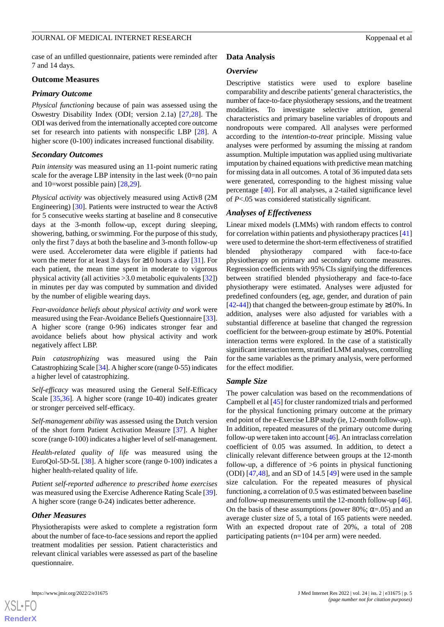case of an unfilled questionnaire, patients were reminded after 7 and 14 days.

# **Outcome Measures**

# *Primary Outcome*

*Physical functioning* because of pain was assessed using the Oswestry Disability Index (ODI; version 2.1a) [[27,](#page-13-8)[28](#page-13-9)]. The ODI was derived from the internationally accepted core outcome set for research into patients with nonspecific LBP [\[28](#page-13-9)]. A higher score (0-100) indicates increased functional disability.

# *Secondary Outcomes*

*Pain intensity* was measured using an 11-point numeric rating scale for the average LBP intensity in the last week (0=no pain and 10=worst possible pain) [\[28](#page-13-9),[29\]](#page-13-10).

*Physical activity* was objectively measured using Activ8 (2M Engineering) [[30\]](#page-13-11). Patients were instructed to wear the Activ8 for 5 consecutive weeks starting at baseline and 8 consecutive days at the 3-month follow-up, except during sleeping, showering, bathing, or swimming. For the purpose of this study, only the first 7 days at both the baseline and 3-month follow-up were used. Accelerometer data were eligible if patients had worn the meter for at least 3 days for  $\geq 10$  hours a day [[31\]](#page-13-12). For each patient, the mean time spent in moderate to vigorous physical activity (all activities >3.0 metabolic equivalents [[32\]](#page-13-13)) in minutes per day was computed by summation and divided by the number of eligible wearing days.

*Fear-avoidance beliefs about physical activity and work* were measured using the Fear-Avoidance Beliefs Questionnaire [[33\]](#page-13-14). A higher score (range 0-96) indicates stronger fear and avoidance beliefs about how physical activity and work negatively affect LBP.

*Pain catastrophizing* was measured using the Pain Catastrophizing Scale [\[34\]](#page-13-15). A higher score (range 0-55) indicates a higher level of catastrophizing.

*Self-efficacy* was measured using the General Self-Efficacy Scale [[35](#page-13-16)[,36](#page-13-17)]. A higher score (range 10-40) indicates greater or stronger perceived self-efficacy.

*Self-management ability* was assessed using the Dutch version of the short form Patient Activation Measure [[37\]](#page-13-18). A higher score (range 0-100) indicates a higher level of self-management.

*Health-related quality of life* was measured using the EuroQol-5D-5L [[38\]](#page-13-19). A higher score (range 0-100) indicates a higher health-related quality of life.

*Patient self-reported adherence to prescribed home exercises* was measured using the Exercise Adherence Rating Scale [[39\]](#page-14-0). A higher score (range 0-24) indicates better adherence.

# *Other Measures*

Physiotherapists were asked to complete a registration form about the number of face-to-face sessions and report the applied treatment modalities per session. Patient characteristics and relevant clinical variables were assessed as part of the baseline questionnaire.

# **Data Analysis**

# *Overview*

Descriptive statistics were used to explore baseline comparability and describe patients'general characteristics, the number of face-to-face physiotherapy sessions, and the treatment modalities. To investigate selective attrition, general characteristics and primary baseline variables of dropouts and nondropouts were compared. All analyses were performed according to the *intention-to-treat* principle. Missing value analyses were performed by assuming the missing at random assumption. Multiple imputation was applied using multivariate imputation by chained equations with predictive mean matching for missing data in all outcomes. A total of 36 imputed data sets were generated, corresponding to the highest missing value percentage [\[40](#page-14-1)]. For all analyses, a 2-tailed significance level of *P*<.05 was considered statistically significant.

# *Analyses of Effectiveness*

Linear mixed models (LMMs) with random effects to control for correlation within patients and physiotherapy practices [\[41](#page-14-2)] were used to determine the short-term effectiveness of stratified blended physiotherapy compared with face-to-face physiotherapy on primary and secondary outcome measures. Regression coefficients with 95% CIs signifying the differences between stratified blended physiotherapy and face-to-face physiotherapy were estimated. Analyses were adjusted for predefined confounders (eg, age, gender, and duration of pain [[42](#page-14-3)[-44](#page-14-4)]) that changed the between-group estimate by  $\geq$ 10%. In addition, analyses were also adjusted for variables with a substantial difference at baseline that changed the regression coefficient for the between-group estimate by  $\geq 10\%$ . Potential interaction terms were explored. In the case of a statistically significant interaction term, stratified LMM analyses, controlling for the same variables as the primary analysis, were performed for the effect modifier.

### *Sample Size*

The power calculation was based on the recommendations of Campbell et al [\[45](#page-14-5)] for cluster randomized trials and performed for the physical functioning primary outcome at the primary end point of the e-Exercise LBP study (ie, 12-month follow-up). In addition, repeated measures of the primary outcome during follow-up were taken into account [\[46](#page-14-6)]. An intraclass correlation coefficient of 0.05 was assumed. In addition, to detect a clinically relevant difference between groups at the 12-month follow-up, a difference of >6 points in physical functioning (ODI) [[47,](#page-14-7)[48](#page-14-8)], and an SD of 14.5 [[49\]](#page-14-9) were used in the sample size calculation. For the repeated measures of physical functioning, a correlation of 0.5 was estimated between baseline and follow-up measurements until the 12-month follow-up [\[46](#page-14-6)]. On the basis of these assumptions (power 80%;  $\alpha = 0.05$ ) and an average cluster size of 5, a total of 165 patients were needed. With an expected dropout rate of 20%, a total of 208 participating patients (n=104 per arm) were needed.

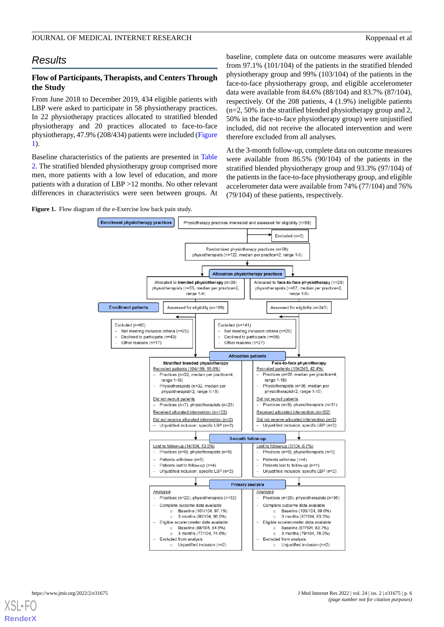# *Results*

# **Flow of Participants, Therapists, and Centers Through the Study**

From June 2018 to December 2019, 434 eligible patients with LBP were asked to participate in 58 physiotherapy practices. In 22 physiotherapy practices allocated to stratified blended physiotherapy and 20 practices allocated to face-to-face physiotherapy, 47.9% (208/434) patients were included ([Figure](#page-5-0) [1\)](#page-5-0).

Baseline characteristics of the patients are presented in [Table](#page-6-0) [2.](#page-6-0) The stratified blended physiotherapy group comprised more men, more patients with a low level of education, and more patients with a duration of LBP >12 months. No other relevant differences in characteristics were seen between groups. At baseline, complete data on outcome measures were available from 97.1% (101/104) of the patients in the stratified blended physiotherapy group and 99% (103/104) of the patients in the face-to-face physiotherapy group, and eligible accelerometer data were available from 84.6% (88/104) and 83.7% (87/104), respectively. Of the 208 patients, 4 (1.9%) ineligible patients (n=2, 50% in the stratified blended physiotherapy group and 2, 50% in the face-to-face physiotherapy group) were unjustified included, did not receive the allocated intervention and were therefore excluded from all analyses.

At the 3-month follow-up, complete data on outcome measures were available from 86.5% (90/104) of the patients in the stratified blended physiotherapy group and 93.3% (97/104) of the patients in the face-to-face physiotherapy group, and eligible accelerometer data were available from 74% (77/104) and 76% (79/104) of these patients, respectively.

<span id="page-5-0"></span>**Figure 1.** Flow diagram of the e-Exercise low back pain study.



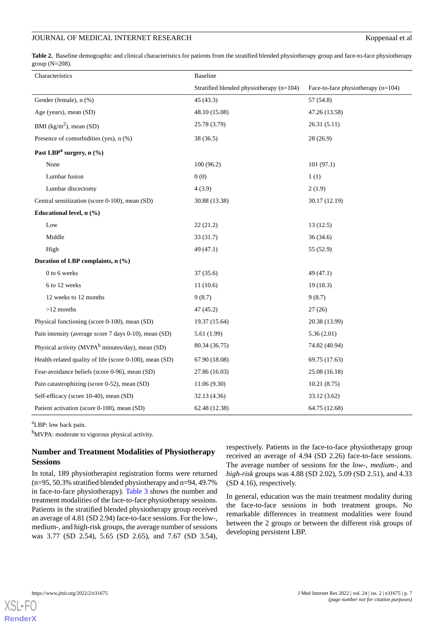# JOURNAL OF MEDICAL INTERNET RESEARCH Koppenaal et al

<span id="page-6-0"></span>**Table 2.** Baseline demographic and clinical characteristics for patients from the stratified blended physiotherapy group and face-to-face physiotherapy group (N=208).

| Characteristics                                              | <b>Baseline</b>                          |                                    |
|--------------------------------------------------------------|------------------------------------------|------------------------------------|
|                                                              | Stratified blended physiotherapy (n=104) | Face-to-face physiotherapy (n=104) |
| Gender (female), n (%)                                       | 45 (43.3)                                | 57 (54.8)                          |
| Age (years), mean (SD)                                       | 48.10 (15.08)                            | 47.26 (13.58)                      |
| BMI ( $\text{kg/m}^2$ ), mean (SD)                           | 25.78 (3.79)                             | 26.31 (5.11)                       |
| Presence of comorbidities (yes), n (%)                       | 38 (36.5)                                | 28 (26.9)                          |
| Past LBP <sup>a</sup> surgery, n (%)                         |                                          |                                    |
| None                                                         | 100(96.2)                                | 101(97.1)                          |
| Lumbar fusion                                                | 0(0)                                     | 1(1)                               |
| Lumbar discectomy                                            | 4(3.9)                                   | 2(1.9)                             |
| Central sensitization (score 0-100), mean (SD)               | 30.88 (13.38)                            | 30.17 (12.19)                      |
| Educational level, n (%)                                     |                                          |                                    |
| Low                                                          | 22(21.2)                                 | 13(12.5)                           |
| Middle                                                       | 33(31.7)                                 | 36(34.6)                           |
| High                                                         | 49 (47.1)                                | 55 (52.9)                          |
| Duration of LBP complaints, n (%)                            |                                          |                                    |
| 0 to 6 weeks                                                 | 37(35.6)                                 | 49(47.1)                           |
| 6 to 12 weeks                                                | 11(10.6)                                 | 19(18.3)                           |
| 12 weeks to 12 months                                        | 9(8.7)                                   | 9(8.7)                             |
| $>12$ months                                                 | 47 (45.2)                                | 27(26)                             |
| Physical functioning (score 0-100), mean (SD)                | 19.37 (15.64)                            | 20.38 (13.99)                      |
| Pain intensity (average score 7 days 0-10), mean (SD)        | 5.61 (1.99)                              | 5.36(2.01)                         |
| Physical activity (MVPA <sup>b</sup> minutes/day), mean (SD) | 80.34 (36.75)                            | 74.82 (40.94)                      |
| Health-related quality of life (score 0-100), mean (SD)      | 67.90 (18.08)                            | 69.75 (17.63)                      |
| Fear-avoidance beliefs (score 0-96), mean (SD)               | 27.86 (16.03)                            | 25.08 (16.18)                      |
| Pain catastrophizing (score 0-52), mean (SD)                 | 11.06(9.30)                              | 10.21(8.75)                        |
| Self-efficacy (score 10-40), mean (SD)                       | 32.13 (4.36)                             | 33.12 (3.62)                       |
| Patient activation (score 0-100), mean (SD)                  | 62.48 (12.38)                            | 64.75 (12.68)                      |

<sup>a</sup>LBP: low back pain.

b<sub>MVPA</sub>: moderate to vigorous physical activity.

# **Number and Treatment Modalities of Physiotherapy Sessions**

In total, 189 physiotherapist registration forms were returned (n=95, 50.3% stratified blended physiotherapy and n=94, 49.7% in face-to-face physiotherapy). [Table 3](#page-7-0) shows the number and treatment modalities of the face-to-face physiotherapy sessions. Patients in the stratified blended physiotherapy group received an average of 4.81 (SD 2.94) face-to-face sessions. For the low-, medium-, and high-risk groups, the average number of sessions was 3.77 (SD 2.54), 5.65 (SD 2.65), and 7.67 (SD 3.54),

respectively. Patients in the face-to-face physiotherapy group received an average of 4.94 (SD 2.26) face-to-face sessions. The average number of sessions for the *low-*, *medium-,* and *high*-*risk* groups was 4.88 (SD 2.02), 5.09 (SD 2.51), and 4.33 (SD 4.16), respectively.

In general, education was the main treatment modality during the face-to-face sessions in both treatment groups. No remarkable differences in treatment modalities were found between the 2 groups or between the different risk groups of developing persistent LBP.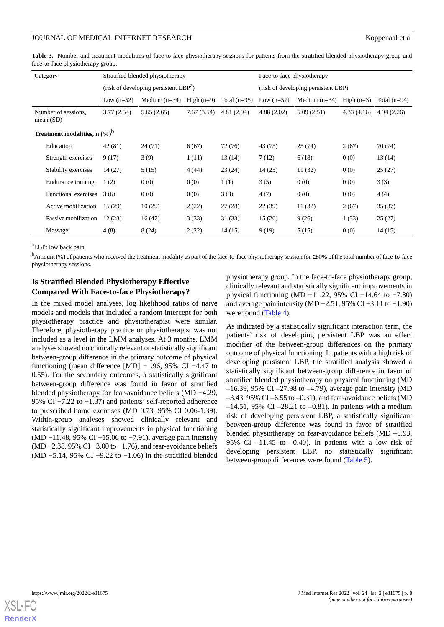<span id="page-7-0"></span>**Table 3.** Number and treatment modalities of face-to-face physiotherapy sessions for patients from the stratified blended physiotherapy group and face-to-face physiotherapy group.

|                                            | Category                           |              | Stratified blended physiotherapy                  |              |                | Face-to-face physiotherapy          |                 |              |                |  |  |
|--------------------------------------------|------------------------------------|--------------|---------------------------------------------------|--------------|----------------|-------------------------------------|-----------------|--------------|----------------|--|--|
|                                            |                                    |              | (risk of developing persistent LBP <sup>a</sup> ) |              |                | (risk of developing persistent LBP) |                 |              |                |  |  |
|                                            |                                    | Low $(n=52)$ | Medium $(n=34)$                                   | High $(n=9)$ | Total $(n=95)$ | Low $(n=57)$                        | Medium $(n=34)$ | High $(n=3)$ | Total $(n=94)$ |  |  |
|                                            | Number of sessions,<br>mean $(SD)$ | 3.77(2.54)   | 5.65(2.65)                                        | 7.67(3.54)   | 4.81(2.94)     | 4.88(2.02)                          | 5.09(2.51)      | 4.33(4.16)   | 4.94(2.26)     |  |  |
| Treatment modalities, $n$ (%) <sup>b</sup> |                                    |              |                                                   |              |                |                                     |                 |              |                |  |  |
|                                            | Education                          | 42(81)       | 24(71)                                            | 6(67)        | 72 (76)        | 43(75)                              | 25(74)          | 2(67)        | 70 (74)        |  |  |
|                                            | Strength exercises                 | 9(17)        | 3(9)                                              | 1(11)        | 13(14)         | 7(12)                               | 6(18)           | 0(0)         | 13(14)         |  |  |
|                                            | Stability exercises                | 14(27)       | 5(15)                                             | 4(44)        | 23(24)         | 14(25)                              | 11(32)          | 0(0)         | 25(27)         |  |  |
|                                            | Endurance training                 | 1(2)         | 0(0)                                              | 0(0)         | 1(1)           | 3(5)                                | 0(0)            | 0(0)         | 3(3)           |  |  |
|                                            | Functional exercises               | 3(6)         | 0(0)                                              | 0(0)         | 3(3)           | 4(7)                                | 0(0)            | 0(0)         | 4(4)           |  |  |
|                                            | Active mobilization                | 15(29)       | 10(29)                                            | 2(22)        | 27(28)         | 22(39)                              | 11(32)          | 2(67)        | 35(37)         |  |  |
|                                            | Passive mobilization               | 12(23)       | 16(47)                                            | 3(33)        | 31(33)         | 15(26)                              | 9(26)           | 1(33)        | 25(27)         |  |  |
|                                            | Massage                            | 4(8)         | 8(24)                                             | 2(22)        | 14(15)         | 9(19)                               | 5(15)           | 0(0)         | 14(15)         |  |  |

<sup>a</sup>LBP: low back pain.

<sup>b</sup>Amount (%) of patients who received the treatment modality as part of the face-to-face physiotherapy session for ≥60% of the total number of face-to-face physiotherapy sessions.

# **Is Stratified Blended Physiotherapy Effective Compared With Face-to-face Physiotherapy?**

In the mixed model analyses, log likelihood ratios of naive models and models that included a random intercept for both physiotherapy practice and physiotherapist were similar. Therefore, physiotherapy practice or physiotherapist was not included as a level in the LMM analyses. At 3 months, LMM analyses showed no clinically relevant or statistically significant between-group difference in the primary outcome of physical functioning (mean difference [MD] −1.96, 95% CI −4.47 to 0.55). For the secondary outcomes, a statistically significant between-group difference was found in favor of stratified blended physiotherapy for fear-avoidance beliefs (MD −4.29, 95% CI −7.22 to −1.37) and patients' self-reported adherence to prescribed home exercises (MD 0.73, 95% CI 0.06-1.39). Within-group analyses showed clinically relevant and statistically significant improvements in physical functioning (MD −11.48, 95% CI −15.06 to −7.91), average pain intensity (MD −2.38, 95% CI −3.00 to −1.76), and fear-avoidance beliefs (MD −5.14, 95% CI −9.22 to −1.06) in the stratified blended

physiotherapy group. In the face-to-face physiotherapy group, clinically relevant and statistically significant improvements in physical functioning (MD −11.22, 95% CI −14.64 to −7.80) and average pain intensity (MD −2.51, 95% CI −3.11 to −1.90) were found ([Table 4](#page-8-0)).

As indicated by a statistically significant interaction term, the patients' risk of developing persistent LBP was an effect modifier of the between-group differences on the primary outcome of physical functioning. In patients with a high risk of developing persistent LBP, the stratified analysis showed a statistically significant between-group difference in favor of stratified blended physiotherapy on physical functioning (MD –16.39, 95% CI –27.98 to –4.79), average pain intensity (MD  $-3.43$ , 95% CI $-6.55$  to  $-0.31$ ), and fear-avoidance beliefs (MD  $-14.51$ , 95% CI  $-28.21$  to  $-0.81$ ). In patients with a medium risk of developing persistent LBP, a statistically significant between-group difference was found in favor of stratified blended physiotherapy on fear-avoidance beliefs (MD –5.93, 95% CI  $-11.45$  to  $-0.40$ ). In patients with a low risk of developing persistent LBP, no statistically significant between-group differences were found ([Table 5](#page-9-0)).

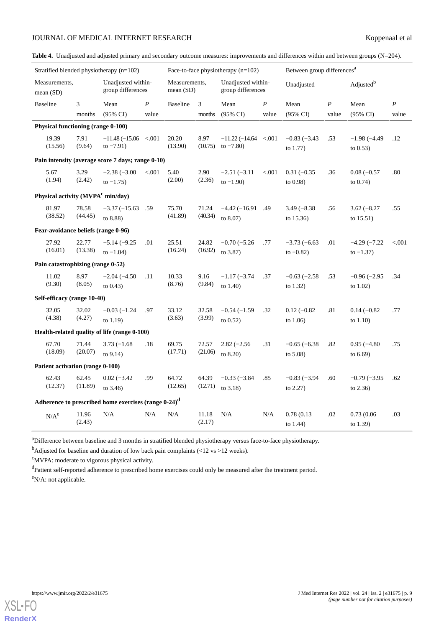# **JOURNAL OF MEDICAL INTERNET RESEARCH** Koppenaal et al

<span id="page-8-0"></span>

| <b>Table 4.</b> Unadjusted and adjusted primary and secondary outcome measures: improvements and differences within and between groups $(N=204)$ . |                                      |                                        |
|----------------------------------------------------------------------------------------------------------------------------------------------------|--------------------------------------|----------------------------------------|
| Stratified blended physiotherapy $(n=102)$                                                                                                         | Face-to-face physiotherapy $(n=102)$ | Between group differences <sup>a</sup> |

| Stratified blended physiotherapy $(n=102)$ |                                               |                                                                  |                  | Face-to-face physiotherapy $(n=102)$ |                 |                                           |                  | Between group differences"    |                  |                               |                  |
|--------------------------------------------|-----------------------------------------------|------------------------------------------------------------------|------------------|--------------------------------------|-----------------|-------------------------------------------|------------------|-------------------------------|------------------|-------------------------------|------------------|
| Measurements,<br>mean $(SD)$               |                                               | Unadjusted within-<br>group differences                          |                  | Measurements,<br>mean(SD)            |                 | Unadjusted within-<br>group differences   |                  | Unadjusted                    |                  | Adjusted <sup>b</sup>         |                  |
| <b>Baseline</b>                            | 3                                             | Mean                                                             | $\boldsymbol{P}$ | <b>Baseline</b>                      | 3               | Mean                                      | $\boldsymbol{P}$ | Mean                          | $\boldsymbol{P}$ | Mean                          | $\boldsymbol{P}$ |
|                                            | months                                        | $(95\% \text{ CI})$                                              | value            |                                      | months          | $(95\% \text{ CI})$                       | value            | $(95\% \text{ CI})$           | value            | $(95\% \text{ CI})$           | value            |
|                                            | Physical functioning (range 0-100)            |                                                                  |                  |                                      |                 |                                           |                  |                               |                  |                               |                  |
| 19.39<br>(15.56)                           | 7.91<br>(9.64)                                | $-11.48(-15.06 \le 0.001$<br>to $-7.91$ )                        |                  | 20.20<br>(13.90)                     | 8.97<br>(10.75) | $-11.22(-14.64 \le 0.001$<br>to $-7.80$ ) |                  | $-0.83(-3.43)$<br>to $1.77$ ) | .53              | $-1.98(-4.49)$<br>to $0.53$ ) | .12              |
|                                            |                                               | Pain intensity (average score 7 days; range 0-10)                |                  |                                      |                 |                                           |                  |                               |                  |                               |                  |
| 5.67                                       | 3.29                                          | $-2.38(-3.00)$                                                   | < 0.001          | 5.40                                 | 2.90            | $-2.51(-3.11)$                            | < 0.001          | $0.31(-0.35)$                 | .36              | $0.08(-0.57)$                 | .80              |
| (1.94)                                     | (2.42)                                        | to $-1.75$ )                                                     |                  | (2.00)                               | (2.36)          | to $-1.90$ )                              |                  | to 0.98)                      |                  | to $0.74$ )                   |                  |
|                                            | Physical activity (MVPA <sup>c</sup> min/day) |                                                                  |                  |                                      |                 |                                           |                  |                               |                  |                               |                  |
| 81.97                                      | 78.58                                         | $-3.37(-15.63)$                                                  | .59              | 75.70                                | 71.24           | $-4.42(-16.91)$                           | .49              | $3.49(-8.38)$                 | .56              | $3.62(-8.27)$                 | .55              |
| (38.52)                                    | (44.45)                                       | to 8.88)                                                         |                  | (41.89)                              | (40.34)         | to 8.07)                                  |                  | to $15.36$ )                  |                  | to $15.51$ )                  |                  |
| Fear-avoidance beliefs (range 0-96)        |                                               |                                                                  |                  |                                      |                 |                                           |                  |                               |                  |                               |                  |
| 27.92                                      | 22.77                                         | $-5.14(-9.25)$                                                   | .01              | 25.51                                | 24.82           | $-0.70(-5.26)$                            | .77              | $-3.73(-6.63)$                | .01              | $-4.29(-7.22)$                | < 0.001          |
| (16.01)                                    | (13.38)                                       | to $-1.04$ )                                                     |                  | (16.24)                              | (16.92)         | to 3.87)                                  |                  | to $-0.82$ )                  |                  | to $-1.37$ )                  |                  |
|                                            | Pain catastrophizing (range 0-52)             |                                                                  |                  |                                      |                 |                                           |                  |                               |                  |                               |                  |
| 11.02                                      | 8.97                                          | $-2.04(-4.50)$                                                   | .11              | 10.33                                | 9.16            | $-1.17(-3.74)$                            | .37              | $-0.63(-2.58)$                | .53              | $-0.96(-2.95)$                | .34              |
| (9.30)                                     | (8.05)                                        | to $0.43$ )                                                      |                  | (8.76)                               | (9.84)          | to $1.40$ )                               |                  | to $1.32$ )                   |                  | to $1.02$ )                   |                  |
|                                            | Self-efficacy (range 10-40)                   |                                                                  |                  |                                      |                 |                                           |                  |                               |                  |                               |                  |
| 32.05                                      | 32.02                                         | $-0.03(-1.24)$                                                   | .97              | 33.12                                | 32.58           | $-0.54(-1.59)$                            | .32              | $0.12(-0.82)$                 | .81              | $0.14(-0.82)$                 | .77              |
| (4.38)                                     | (4.27)                                        | to $1.19$ )                                                      |                  | (3.63)                               | (3.99)          | to $0.52$ )                               |                  | to $1.06$                     |                  | to $1.10$ )                   |                  |
|                                            |                                               | Health-related quality of life (range 0-100)                     |                  |                                      |                 |                                           |                  |                               |                  |                               |                  |
| 67.70                                      | 71.44                                         | $3.73(-1.68)$                                                    | .18              | 69.75                                | 72.57           | $2.82(-2.56)$                             | .31              | $-0.65(-6.38)$                | .82              | $0.95(-4.80)$                 | .75              |
| (18.09)                                    | (20.07)                                       | to $9.14$ )                                                      |                  | (17.71)                              | (21.06)         | to $8.20$ )                               |                  | to 5.08)                      |                  | to $6.69$ )                   |                  |
|                                            | Patient activation (range 0-100)              |                                                                  |                  |                                      |                 |                                           |                  |                               |                  |                               |                  |
| 62.43                                      | 62.45                                         | $0.02(-3.42)$                                                    | .99              | 64.72                                | 64.39           | $-0.33(-3.84)$                            | .85              | $-0.83(-3.94)$                | .60              | $-0.79(-3.95)$                | .62              |
| (12.37)                                    | (11.89)                                       | to $3.46$ )                                                      |                  | (12.65)                              | (12.71)         | to 3.18)                                  |                  | to $2.27$ )                   |                  | to $2.36$ )                   |                  |
|                                            |                                               | Adherence to prescribed home exercises (range 0-24) <sup>d</sup> |                  |                                      |                 |                                           |                  |                               |                  |                               |                  |
| $N/A^e$                                    | 11.96                                         | N/A                                                              | N/A              | N/A                                  | 11.18           | N/A                                       | N/A              | 0.78(0.13)                    | .02              | 0.73(0.06)                    | .03              |
|                                            | (2.43)                                        |                                                                  |                  |                                      | (2.17)          |                                           |                  | to $1.44$ )                   |                  | to 1.39)                      |                  |

<sup>a</sup>Difference between baseline and 3 months in stratified blended physiotherapy versus face-to-face physiotherapy.

<sup>b</sup>Adjusted for baseline and duration of low back pain complaints (<12 vs >12 weeks).

<sup>c</sup>MVPA: moderate to vigorous physical activity.

<sup>d</sup>Patient self-reported adherence to prescribed home exercises could only be measured after the treatment period. <sup>e</sup>N/A: not applicable.

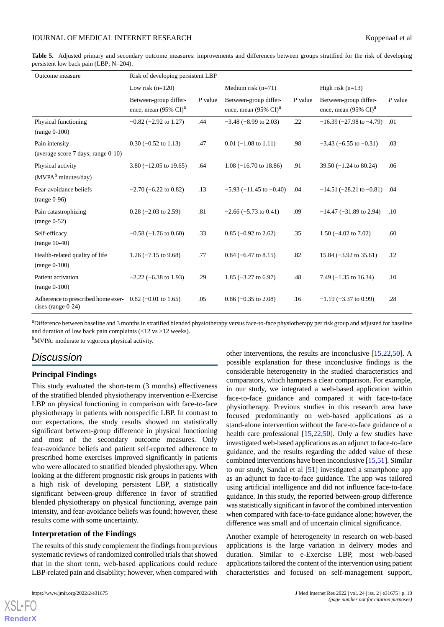<span id="page-9-0"></span>

| Table 5. Adjusted primary and secondary outcome measures: improvements and differences between groups stratified for the risk of developing |  |  |  |  |  |  |  |
|---------------------------------------------------------------------------------------------------------------------------------------------|--|--|--|--|--|--|--|
| persistent low back pain (LBP; $N=204$ ).                                                                                                   |  |  |  |  |  |  |  |

| Outcome measure                                                                    | Risk of developing persistent LBP                                  |                      |                                                                    |           |                                                                    |           |  |  |  |  |
|------------------------------------------------------------------------------------|--------------------------------------------------------------------|----------------------|--------------------------------------------------------------------|-----------|--------------------------------------------------------------------|-----------|--|--|--|--|
|                                                                                    | Low risk $(n=120)$                                                 | Medium risk $(n=71)$ |                                                                    |           | High risk $(n=13)$                                                 |           |  |  |  |  |
|                                                                                    | Between-group differ-<br>ence, mean $(95\% \text{ CI})^{\text{a}}$ | $P$ value            | Between-group differ-<br>ence, mean $(95\% \text{ CI})^{\text{a}}$ | $P$ value | Between-group differ-<br>ence, mean $(95\% \text{ CI})^{\text{a}}$ | $P$ value |  |  |  |  |
| Physical functioning<br>$(range 0-100)$                                            | $-0.82$ ( $-2.92$ to 1.27)                                         | .44                  | $-3.48$ ( $-8.99$ to 2.03)                                         | .22       | $-16.39(-27.98$ to $-4.79$ )                                       | .01       |  |  |  |  |
| Pain intensity<br>(average score 7 days; range 0-10)                               | $0.30$ (-0.52 to 1.13)                                             | .47                  | $0.01$ (-1.08 to 1.11)                                             | .98       | $-3.43$ ( $-6.55$ to $-0.31$ )                                     | .03       |  |  |  |  |
| Physical activity<br>(MVPA <sup>b</sup> minutes/day)                               | $3.80 (-12.05 \text{ to } 19.65)$                                  | .64                  | $1.08$ (-16.70 to 18.86)                                           | .91       | $39.50 (-1.24 \text{ to } 80.24)$                                  | .06       |  |  |  |  |
| Fear-avoidance beliefs<br>$(range 0-96)$                                           | $-2.70$ ( $-6.22$ to 0.82)                                         | .13                  | $-5.93$ ( $-11.45$ to $-0.40$ )                                    | .04       | $-14.51$ ( $-28.21$ to $-0.81$ )                                   | .04       |  |  |  |  |
| Pain catastrophizing<br>$(range 0-52)$                                             | $0.28$ (-2.03 to 2.59)                                             | .81                  | $-2.66$ ( $-5.73$ to 0.41)                                         | .09       | $-14.47$ ( $-31.89$ to 2.94)                                       | .10       |  |  |  |  |
| Self-efficacy<br>$(range 10-40)$                                                   | $-0.58$ ( $-1.76$ to 0.60)                                         | .33                  | $0.85$ (-0.92 to 2.62)                                             | .35       | $1.50$ (-4.02 to 7.02)                                             | .60       |  |  |  |  |
| Health-related quality of life<br>$(range 0-100)$                                  | $1.26$ (-7.15 to 9.68)                                             | .77                  | $0.84$ (-6.47 to 8.15)                                             | .82       | $15.84 (-3.92 \text{ to } 35.61)$                                  | .12       |  |  |  |  |
| Patient activation<br>$(range 0-100)$                                              | $-2.22$ ( $-6.38$ to 1.93)                                         | .29                  | 1.85 $(-3.27 \text{ to } 6.97)$                                    | .48       | 7.49 $(-1.35$ to 16.34)                                            | .10       |  |  |  |  |
| Adherence to prescribed home exer- $0.82$ (-0.01 to 1.65)<br>cises (range $0-24$ ) |                                                                    | .05                  | $0.86$ (-0.35 to 2.08)                                             | .16       | $-1.19$ ( $-3.37$ to 0.99)                                         | .28       |  |  |  |  |

<sup>a</sup>Difference between baseline and 3 months in stratified blended physiotherapy versus face-to-face physiotherapy per risk group and adjusted for baseline and duration of low back pain complaints (<12 vs >12 weeks).

<sup>b</sup>MVPA: moderate to vigorous physical activity.

# *Discussion*

# **Principal Findings**

This study evaluated the short-term (3 months) effectiveness of the stratified blended physiotherapy intervention e-Exercise LBP on physical functioning in comparison with face-to-face physiotherapy in patients with nonspecific LBP. In contrast to our expectations, the study results showed no statistically significant between-group difference in physical functioning and most of the secondary outcome measures. Only fear-avoidance beliefs and patient self-reported adherence to prescribed home exercises improved significantly in patients who were allocated to stratified blended physiotherapy. When looking at the different prognostic risk groups in patients with a high risk of developing persistent LBP, a statistically significant between-group difference in favor of stratified blended physiotherapy on physical functioning, average pain intensity, and fear-avoidance beliefs was found; however, these results come with some uncertainty.

# **Interpretation of the Findings**

The results of this study complement the findings from previous systematic reviews of randomized controlled trials that showed that in the short term, web-based applications could reduce LBP-related pain and disability; however, when compared with

[XSL](http://www.w3.org/Style/XSL)•FO **[RenderX](http://www.renderx.com/)**

other interventions, the results are inconclusive [[15,](#page-12-13)[22](#page-13-3),[50\]](#page-14-10). A possible explanation for these inconclusive findings is the considerable heterogeneity in the studied characteristics and comparators, which hampers a clear comparison. For example, in our study, we integrated a web-based application within face-to-face guidance and compared it with face-to-face physiotherapy. Previous studies in this research area have focused predominantly on web-based applications as a stand-alone intervention without the face-to-face guidance of a health care professional [[15](#page-12-13)[,22](#page-13-3),[50\]](#page-14-10). Only a few studies have investigated web-based applications as an adjunct to face-to-face guidance, and the results regarding the added value of these combined interventions have been inconclusive [[15,](#page-12-13)[51\]](#page-14-11). Similar to our study, Sandal et al [[51\]](#page-14-11) investigated a smartphone app as an adjunct to face-to-face guidance. The app was tailored using artificial intelligence and did not influence face-to-face guidance. In this study, the reported between-group difference was statistically significant in favor of the combined intervention when compared with face-to-face guidance alone; however, the difference was small and of uncertain clinical significance.

Another example of heterogeneity in research on web-based applications is the large variation in delivery modes and duration. Similar to e-Exercise LBP, most web-based applications tailored the content of the intervention using patient characteristics and focused on self-management support,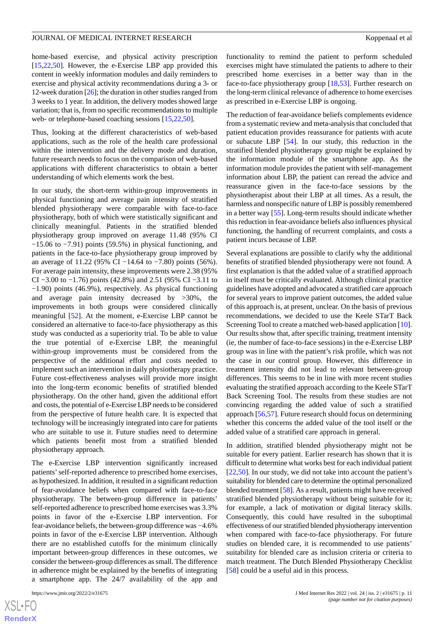home-based exercise, and physical activity prescription [[15](#page-12-13)[,22](#page-13-3),[50\]](#page-14-10). However, the e-Exercise LBP app provided this content in weekly information modules and daily reminders to exercise and physical activity recommendations during a 3- or 12-week duration [\[26](#page-13-7)]; the duration in other studies ranged from 3 weeks to 1 year. In addition, the delivery modes showed large variation; that is, from no specific recommendations to multiple web- or telephone-based coaching sessions [\[15](#page-12-13)[,22](#page-13-3),[50\]](#page-14-10).

Thus, looking at the different characteristics of web-based applications, such as the role of the health care professional within the intervention and the delivery mode and duration, future research needs to focus on the comparison of web-based applications with different characteristics to obtain a better understanding of which elements work the best.

In our study, the short-term within-group improvements in physical functioning and average pain intensity of stratified blended physiotherapy were comparable with face-to-face physiotherapy, both of which were statistically significant and clinically meaningful. Patients in the stratified blended physiotherapy group improved on average 11.48 (95% CI  $-15.06$  to  $-7.91$ ) points (59.5%) in physical functioning, and patients in the face-to-face physiotherapy group improved by an average of 11.22 (95% CI −14.64 to −7.80) points (56%). For average pain intensity, these improvements were 2.38 (95% CI −3.00 to −1.76) points (42.8%) and 2.51 (95% CI −3.11 to −1.90) points (46.9%), respectively. As physical functioning and average pain intensity decreased by >30%, the improvements in both groups were considered clinically meaningful [\[52](#page-14-12)]. At the moment, e-Exercise LBP cannot be considered an alternative to face-to-face physiotherapy as this study was conducted as a superiority trial. To be able to value the true potential of e-Exercise LBP, the meaningful within-group improvements must be considered from the perspective of the additional effort and costs needed to implement such an intervention in daily physiotherapy practice. Future cost-effectiveness analyses will provide more insight into the long-term economic benefits of stratified blended physiotherapy. On the other hand, given the additional effort and costs, the potential of e-Exercise LBP needs to be considered from the perspective of future health care. It is expected that technology will be increasingly integrated into care for patients who are suitable to use it. Future studies need to determine which patients benefit most from a stratified blended physiotherapy approach.

The e-Exercise LBP intervention significantly increased patients' self-reported adherence to prescribed home exercises, as hypothesized. In addition, it resulted in a significant reduction of fear-avoidance beliefs when compared with face-to-face physiotherapy. The between-group difference in patients' self-reported adherence to prescribed home exercises was 3.3% points in favor of the e-Exercise LBP intervention. For fear-avoidance beliefs, the between-group difference was −4.6% points in favor of the e-Exercise LBP intervention. Although there are no established cutoffs for the minimum clinically important between-group differences in these outcomes, we consider the between-group differences as small. The difference in adherence might be explained by the benefits of integrating a smartphone app. The 24/7 availability of the app and

[XSL](http://www.w3.org/Style/XSL)•FO **[RenderX](http://www.renderx.com/)** functionality to remind the patient to perform scheduled exercises might have stimulated the patients to adhere to their prescribed home exercises in a better way than in the face-to-face physiotherapy group [\[18](#page-13-0),[53\]](#page-14-13). Further research on the long-term clinical relevance of adherence to home exercises as prescribed in e-Exercise LBP is ongoing.

The reduction of fear-avoidance beliefs complements evidence from a systematic review and meta-analysis that concluded that patient education provides reassurance for patients with acute or subacute LBP [[54\]](#page-14-14). In our study, this reduction in the stratified blended physiotherapy group might be explained by the information module of the smartphone app. As the information module provides the patient with self-management information about LBP, the patient can reread the advice and reassurance given in the face-to-face sessions by the physiotherapist about their LBP at all times. As a result, the harmless and nonspecific nature of LBP is possibly remembered in a better way [[55\]](#page-14-15). Long-term results should indicate whether this reduction in fear-avoidance beliefs also influences physical functioning, the handling of recurrent complaints, and costs a patient incurs because of LBP.

Several explanations are possible to clarify why the additional benefits of stratified blended physiotherapy were not found. A first explanation is that the added value of a stratified approach in itself must be critically evaluated. Although clinical practice guidelines have adopted and advocated a stratified care approach for several years to improve patient outcomes, the added value of this approach is, at present, unclear. On the basis of previous recommendations, we decided to use the Keele STarT Back Screening Tool to create a matched web-based application [[10\]](#page-12-8). Our results show that, after specific training, treatment intensity (ie, the number of face-to-face sessions) in the e-Exercise LBP group was in line with the patient's risk profile, which was not the case in our control group. However, this difference in treatment intensity did not lead to relevant between-group differences. This seems to be in line with more recent studies evaluating the stratified approach according to the Keele STarT Back Screening Tool. The results from these studies are not convincing regarding the added value of such a stratified approach [[56,](#page-14-16)[57](#page-14-17)]. Future research should focus on determining whether this concerns the added value of the tool itself or the added value of a stratified care approach in general.

In addition, stratified blended physiotherapy might not be suitable for every patient. Earlier research has shown that it is difficult to determine what works best for each individual patient [[22,](#page-13-3)[50\]](#page-14-10). In our study, we did not take into account the patient's suitability for blended care to determine the optimal personalized blended treatment [\[58](#page-14-18)]. As a result, patients might have received stratified blended physiotherapy without being suitable for it; for example, a lack of motivation or digital literacy skills. Consequently, this could have resulted in the suboptimal effectiveness of our stratified blended physiotherapy intervention when compared with face-to-face physiotherapy. For future studies on blended care, it is recommended to use patients' suitability for blended care as inclusion criteria or criteria to match treatment. The Dutch Blended Physiotherapy Checklist [[58\]](#page-14-18) could be a useful aid in this process.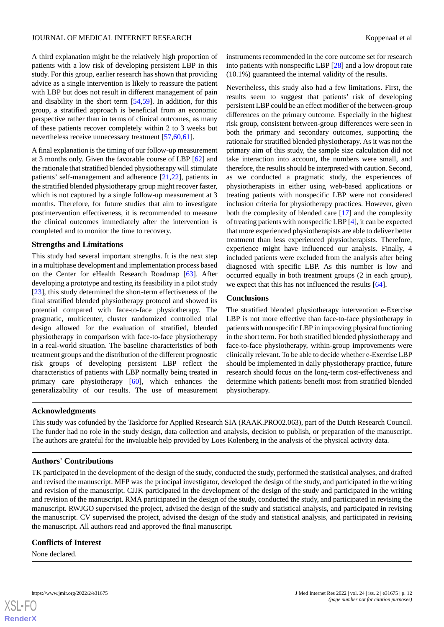A third explanation might be the relatively high proportion of patients with a low risk of developing persistent LBP in this study. For this group, earlier research has shown that providing advice as a single intervention is likely to reassure the patient with LBP but does not result in different management of pain and disability in the short term [\[54](#page-14-14),[59\]](#page-14-19). In addition, for this group, a stratified approach is beneficial from an economic perspective rather than in terms of clinical outcomes, as many of these patients recover completely within 2 to 3 weeks but nevertheless receive unnecessary treatment [[57](#page-14-17)[,60](#page-14-20),[61\]](#page-14-21).

A final explanation is the timing of our follow-up measurement at 3 months only. Given the favorable course of LBP [\[62](#page-15-0)] and the rationale that stratified blended physiotherapy will stimulate patients' self-management and adherence [\[21](#page-13-2),[22\]](#page-13-3), patients in the stratified blended physiotherapy group might recover faster, which is not captured by a single follow-up measurement at 3 months. Therefore, for future studies that aim to investigate postintervention effectiveness, it is recommended to measure the clinical outcomes immediately after the intervention is completed and to monitor the time to recovery.

### **Strengths and Limitations**

This study had several important strengths. It is the next step in a multiphase development and implementation process based on the Center for eHealth Research Roadmap [\[63](#page-15-1)]. After developing a prototype and testing its feasibility in a pilot study [[23\]](#page-13-4), this study determined the short-term effectiveness of the final stratified blended physiotherapy protocol and showed its potential compared with face-to-face physiotherapy. The pragmatic, multicenter, cluster randomized controlled trial design allowed for the evaluation of stratified, blended physiotherapy in comparison with face-to-face physiotherapy in a real-world situation. The baseline characteristics of both treatment groups and the distribution of the different prognostic risk groups of developing persistent LBP reflect the characteristics of patients with LBP normally being treated in primary care physiotherapy [[60\]](#page-14-20), which enhances the generalizability of our results. The use of measurement

instruments recommended in the core outcome set for research into patients with nonspecific LBP [[28\]](#page-13-9) and a low dropout rate (10.1%) guaranteed the internal validity of the results.

Nevertheless, this study also had a few limitations. First, the results seem to suggest that patients' risk of developing persistent LBP could be an effect modifier of the between-group differences on the primary outcome. Especially in the highest risk group, consistent between-group differences were seen in both the primary and secondary outcomes, supporting the rationale for stratified blended physiotherapy. As it was not the primary aim of this study, the sample size calculation did not take interaction into account, the numbers were small, and therefore, the results should be interpreted with caution. Second, as we conducted a pragmatic study, the experiences of physiotherapists in either using web-based applications or treating patients with nonspecific LBP were not considered inclusion criteria for physiotherapy practices. However, given both the complexity of blended care [\[17](#page-12-15)] and the complexity of treating patients with nonspecific LBP [\[4](#page-12-3)], it can be expected that more experienced physiotherapists are able to deliver better treatment than less experienced physiotherapists. Therefore, experience might have influenced our analysis. Finally, 4 included patients were excluded from the analysis after being diagnosed with specific LBP. As this number is low and occurred equally in both treatment groups (2 in each group), we expect that this has not influenced the results [\[64](#page-15-2)].

### **Conclusions**

The stratified blended physiotherapy intervention e-Exercise LBP is not more effective than face-to-face physiotherapy in patients with nonspecific LBP in improving physical functioning in the short term. For both stratified blended physiotherapy and face-to-face physiotherapy, within-group improvements were clinically relevant. To be able to decide whether e-Exercise LBP should be implemented in daily physiotherapy practice, future research should focus on the long-term cost-effectiveness and determine which patients benefit most from stratified blended physiotherapy.

### **Acknowledgments**

This study was cofunded by the Taskforce for Applied Research SIA (RAAK.PRO02.063), part of the Dutch Research Council. The funder had no role in the study design, data collection and analysis, decision to publish, or preparation of the manuscript. The authors are grateful for the invaluable help provided by Loes Kolenberg in the analysis of the physical activity data.

### **Authors' Contributions**

TK participated in the development of the design of the study, conducted the study, performed the statistical analyses, and drafted and revised the manuscript. MFP was the principal investigator, developed the design of the study, and participated in the writing and revision of the manuscript. CJJK participated in the development of the design of the study and participated in the writing and revision of the manuscript. RMA participated in the design of the study, conducted the study, and participated in revising the manuscript. RWJGO supervised the project, advised the design of the study and statistical analysis, and participated in revising the manuscript. CV supervised the project, advised the design of the study and statistical analysis, and participated in revising the manuscript. All authors read and approved the final manuscript.

# **Conflicts of Interest**

None declared.

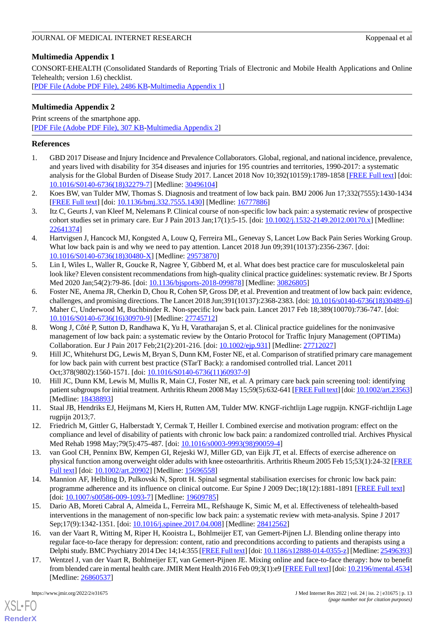# <span id="page-12-16"></span>**Multimedia Appendix 1**

CONSORT-EHEALTH (Consolidated Standards of Reporting Trials of Electronic and Mobile Health Applications and Online Telehealth; version 1.6) checklist.

<span id="page-12-17"></span>[[PDF File \(Adobe PDF File\), 2486 KB](https://jmir.org/api/download?alt_name=jmir_v24i2e31675_app1.pdf&filename=4f49f55178b638f61e4352f02ed9b66a.pdf)-[Multimedia Appendix 1\]](https://jmir.org/api/download?alt_name=jmir_v24i2e31675_app1.pdf&filename=4f49f55178b638f61e4352f02ed9b66a.pdf)

# **Multimedia Appendix 2**

Print screens of the smartphone app. [[PDF File \(Adobe PDF File\), 307 KB](https://jmir.org/api/download?alt_name=jmir_v24i2e31675_app2.pdf&filename=aecdc926e2f1a6be5dd6818f3028b1a9.pdf)-[Multimedia Appendix 2\]](https://jmir.org/api/download?alt_name=jmir_v24i2e31675_app2.pdf&filename=aecdc926e2f1a6be5dd6818f3028b1a9.pdf)

# <span id="page-12-0"></span>**References**

- <span id="page-12-1"></span>1. GBD 2017 Disease and Injury Incidence and Prevalence Collaborators. Global, regional, and national incidence, prevalence, and years lived with disability for 354 diseases and injuries for 195 countries and territories, 1990-2017: a systematic analysis for the Global Burden of Disease Study 2017. Lancet 2018 Nov 10;392(10159):1789-1858 [\[FREE Full text](https://linkinghub.elsevier.com/retrieve/pii/S0140-6736(18)32279-7)] [doi: [10.1016/S0140-6736\(18\)32279-7\]](http://dx.doi.org/10.1016/S0140-6736(18)32279-7) [Medline: [30496104](http://www.ncbi.nlm.nih.gov/entrez/query.fcgi?cmd=Retrieve&db=PubMed&list_uids=30496104&dopt=Abstract)]
- <span id="page-12-2"></span>2. Koes BW, van Tulder MW, Thomas S. Diagnosis and treatment of low back pain. BMJ 2006 Jun 17;332(7555):1430-1434 [[FREE Full text](http://europepmc.org/abstract/MED/16777886)] [doi: [10.1136/bmj.332.7555.1430\]](http://dx.doi.org/10.1136/bmj.332.7555.1430) [Medline: [16777886\]](http://www.ncbi.nlm.nih.gov/entrez/query.fcgi?cmd=Retrieve&db=PubMed&list_uids=16777886&dopt=Abstract)
- <span id="page-12-3"></span>3. Itz C, Geurts J, van Kleef M, Nelemans P. Clinical course of non-specific low back pain: a systematic review of prospective cohort studies set in primary care. Eur J Pain 2013 Jan;17(1):5-15. [doi: [10.1002/j.1532-2149.2012.00170.x](http://dx.doi.org/10.1002/j.1532-2149.2012.00170.x)] [Medline: [22641374](http://www.ncbi.nlm.nih.gov/entrez/query.fcgi?cmd=Retrieve&db=PubMed&list_uids=22641374&dopt=Abstract)]
- <span id="page-12-4"></span>4. Hartvigsen J, Hancock MJ, Kongsted A, Louw Q, Ferreira ML, Genevay S, Lancet Low Back Pain Series Working Group. What low back pain is and why we need to pay attention. Lancet 2018 Jun 09;391(10137):2356-2367. [doi: [10.1016/S0140-6736\(18\)30480-X\]](http://dx.doi.org/10.1016/S0140-6736(18)30480-X) [Medline: [29573870\]](http://www.ncbi.nlm.nih.gov/entrez/query.fcgi?cmd=Retrieve&db=PubMed&list_uids=29573870&dopt=Abstract)
- <span id="page-12-5"></span>5. Lin I, Wiles L, Waller R, Goucke R, Nagree Y, Gibberd M, et al. What does best practice care for musculoskeletal pain look like? Eleven consistent recommendations from high-quality clinical practice guidelines: systematic review. Br J Sports Med 2020 Jan; 54(2): 79-86. [doi: 10.1136/bisports-2018-099878] [Medline: [30826805\]](http://www.ncbi.nlm.nih.gov/entrez/query.fcgi?cmd=Retrieve&db=PubMed&list_uids=30826805&dopt=Abstract)
- <span id="page-12-6"></span>6. Foster NE, Anema JR, Cherkin D, Chou R, Cohen SP, Gross DP, et al. Prevention and treatment of low back pain: evidence, challenges, and promising directions. The Lancet 2018 Jun;391(10137):2368-2383. [doi: [10.1016/s0140-6736\(18\)30489-6\]](http://dx.doi.org/10.1016/s0140-6736(18)30489-6)
- 7. Maher C, Underwood M, Buchbinder R. Non-specific low back pain. Lancet 2017 Feb 18;389(10070):736-747. [doi: [10.1016/S0140-6736\(16\)30970-9\]](http://dx.doi.org/10.1016/S0140-6736(16)30970-9) [Medline: [27745712](http://www.ncbi.nlm.nih.gov/entrez/query.fcgi?cmd=Retrieve&db=PubMed&list_uids=27745712&dopt=Abstract)]
- <span id="page-12-7"></span>8. Wong J, Côté P, Sutton D, Randhawa K, Yu H, Varatharajan S, et al. Clinical practice guidelines for the noninvasive management of low back pain: a systematic review by the Ontario Protocol for Traffic Injury Management (OPTIMa) Collaboration. Eur J Pain 2017 Feb;21(2):201-216. [doi: [10.1002/ejp.931](http://dx.doi.org/10.1002/ejp.931)] [Medline: [27712027](http://www.ncbi.nlm.nih.gov/entrez/query.fcgi?cmd=Retrieve&db=PubMed&list_uids=27712027&dopt=Abstract)]
- <span id="page-12-8"></span>9. Hill JC, Whitehurst DG, Lewis M, Bryan S, Dunn KM, Foster NE, et al. Comparison of stratified primary care management for low back pain with current best practice (STarT Back): a randomised controlled trial. Lancet 2011 Oct;378(9802):1560-1571. [doi: [10.1016/S0140-6736\(11\)60937-9](http://dx.doi.org/10.1016/S0140-6736(11)60937-9)]
- <span id="page-12-10"></span><span id="page-12-9"></span>10. Hill JC, Dunn KM, Lewis M, Mullis R, Main CJ, Foster NE, et al. A primary care back pain screening tool: identifying patient subgroups for initial treatment. Arthritis Rheum 2008 May 15;59(5):632-641 [\[FREE Full text\]](https://doi.org/10.1002/art.23563) [doi: [10.1002/art.23563\]](http://dx.doi.org/10.1002/art.23563) [Medline: [18438893](http://www.ncbi.nlm.nih.gov/entrez/query.fcgi?cmd=Retrieve&db=PubMed&list_uids=18438893&dopt=Abstract)]
- <span id="page-12-11"></span>11. Staal JB, Hendriks EJ, Heijmans M, Kiers H, Rutten AM, Tulder MW. KNGF-richtlijn Lage rugpijn. KNGF-richtlijn Lage rugpijn 2013;7.
- <span id="page-12-12"></span>12. Friedrich M, Gittler G, Halberstadt Y, Cermak T, Heiller I. Combined exercise and motivation program: effect on the compliance and level of disability of patients with chronic low back pain: a randomized controlled trial. Archives Physical Med Rehab 1998 May;79(5):475-487. [doi: [10.1016/s0003-9993\(98\)90059-4\]](http://dx.doi.org/10.1016/s0003-9993(98)90059-4)
- <span id="page-12-13"></span>13. van Gool CH, Penninx BW, Kempen GI, Rejeski WJ, Miller GD, van Eijk JT, et al. Effects of exercise adherence on physical function among overweight older adults with knee osteoarthritis. Arthritis Rheum 2005 Feb 15;53(1):24-32 [\[FREE](https://doi.org/10.1002/art.20902) [Full text\]](https://doi.org/10.1002/art.20902) [doi: [10.1002/art.20902](http://dx.doi.org/10.1002/art.20902)] [Medline: [15696558](http://www.ncbi.nlm.nih.gov/entrez/query.fcgi?cmd=Retrieve&db=PubMed&list_uids=15696558&dopt=Abstract)]
- <span id="page-12-14"></span>14. Mannion AF, Helbling D, Pulkovski N, Sprott H. Spinal segmental stabilisation exercises for chronic low back pain: programme adherence and its influence on clinical outcome. Eur Spine J 2009 Dec;18(12):1881-1891 [\[FREE Full text\]](http://europepmc.org/abstract/MED/19609785) [doi: [10.1007/s00586-009-1093-7](http://dx.doi.org/10.1007/s00586-009-1093-7)] [Medline: [19609785\]](http://www.ncbi.nlm.nih.gov/entrez/query.fcgi?cmd=Retrieve&db=PubMed&list_uids=19609785&dopt=Abstract)
- <span id="page-12-15"></span>15. Dario AB, Moreti Cabral A, Almeida L, Ferreira ML, Refshauge K, Simic M, et al. Effectiveness of telehealth-based interventions in the management of non-specific low back pain: a systematic review with meta-analysis. Spine J 2017 Sep;17(9):1342-1351. [doi: [10.1016/j.spinee.2017.04.008](http://dx.doi.org/10.1016/j.spinee.2017.04.008)] [Medline: [28412562\]](http://www.ncbi.nlm.nih.gov/entrez/query.fcgi?cmd=Retrieve&db=PubMed&list_uids=28412562&dopt=Abstract)
- 16. van der Vaart R, Witting M, Riper H, Kooistra L, Bohlmeijer ET, van Gemert-Pijnen LJ. Blending online therapy into regular face-to-face therapy for depression: content, ratio and preconditions according to patients and therapists using a Delphi study. BMC Psychiatry 2014 Dec 14;14:355 [\[FREE Full text](https://bmcpsychiatry.biomedcentral.com/articles/10.1186/s12888-014-0355-z)] [doi: [10.1186/s12888-014-0355-z\]](http://dx.doi.org/10.1186/s12888-014-0355-z) [Medline: [25496393\]](http://www.ncbi.nlm.nih.gov/entrez/query.fcgi?cmd=Retrieve&db=PubMed&list_uids=25496393&dopt=Abstract)
- 17. Wentzel J, van der Vaart R, Bohlmeijer ET, van Gemert-Pijnen JE. Mixing online and face-to-face therapy: how to benefit from blended care in mental health care. JMIR Ment Health 2016 Feb 09;3(1):e9 [\[FREE Full text\]](https://mental.jmir.org/2016/1/e9/) [doi: [10.2196/mental.4534\]](http://dx.doi.org/10.2196/mental.4534) [Medline: [26860537](http://www.ncbi.nlm.nih.gov/entrez/query.fcgi?cmd=Retrieve&db=PubMed&list_uids=26860537&dopt=Abstract)]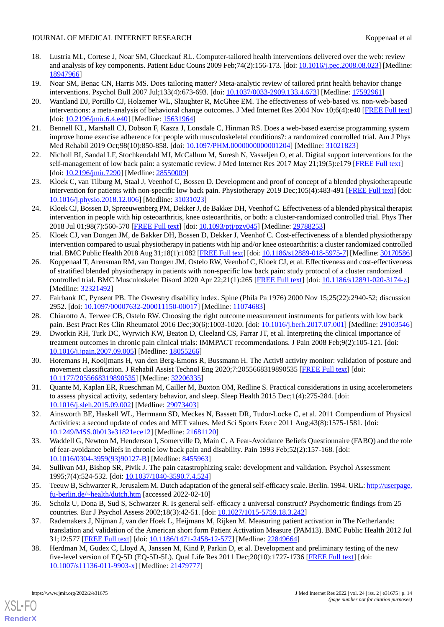# JOURNAL OF MEDICAL INTERNET RESEARCH KOPPEN ASSEMBLISHED ASSEMBLISHED ASSEMBLISHED ASSEMBLISHED ASSEMBLISHED ASSEMBLISHED ASSEMBLISHED ASSEMBLISHED ASSEMBLISHED ASSEMBLISHED ASSEMBLISHED ASSEMBLISHED ASSEMBLISHED ASSEMBLIS

- <span id="page-13-0"></span>18. Lustria ML, Cortese J, Noar SM, Glueckauf RL. Computer-tailored health interventions delivered over the web: review and analysis of key components. Patient Educ Couns 2009 Feb;74(2):156-173. [doi: [10.1016/j.pec.2008.08.023\]](http://dx.doi.org/10.1016/j.pec.2008.08.023) [Medline: [18947966](http://www.ncbi.nlm.nih.gov/entrez/query.fcgi?cmd=Retrieve&db=PubMed&list_uids=18947966&dopt=Abstract)]
- <span id="page-13-1"></span>19. Noar SM, Benac CN, Harris MS. Does tailoring matter? Meta-analytic review of tailored print health behavior change interventions. Psychol Bull 2007 Jul;133(4):673-693. [doi: [10.1037/0033-2909.133.4.673\]](http://dx.doi.org/10.1037/0033-2909.133.4.673) [Medline: [17592961](http://www.ncbi.nlm.nih.gov/entrez/query.fcgi?cmd=Retrieve&db=PubMed&list_uids=17592961&dopt=Abstract)]
- 20. Wantland DJ, Portillo CJ, Holzemer WL, Slaughter R, McGhee EM. The effectiveness of web-based vs. non-web-based interventions: a meta-analysis of behavioral change outcomes. J Med Internet Res 2004 Nov 10;6(4):e40 [\[FREE Full text](https://www.jmir.org/2004/4/e40/)] [doi: [10.2196/jmir.6.4.e40](http://dx.doi.org/10.2196/jmir.6.4.e40)] [Medline: [15631964](http://www.ncbi.nlm.nih.gov/entrez/query.fcgi?cmd=Retrieve&db=PubMed&list_uids=15631964&dopt=Abstract)]
- <span id="page-13-3"></span><span id="page-13-2"></span>21. Bennell KL, Marshall CJ, Dobson F, Kasza J, Lonsdale C, Hinman RS. Does a web-based exercise programming system improve home exercise adherence for people with musculoskeletal conditions?: a randomized controlled trial. Am J Phys Med Rehabil 2019 Oct;98(10):850-858. [doi: [10.1097/PHM.0000000000001204](http://dx.doi.org/10.1097/PHM.0000000000001204)] [Medline: [31021823](http://www.ncbi.nlm.nih.gov/entrez/query.fcgi?cmd=Retrieve&db=PubMed&list_uids=31021823&dopt=Abstract)]
- <span id="page-13-4"></span>22. Nicholl BI, Sandal LF, Stochkendahl MJ, McCallum M, Suresh N, Vasseljen O, et al. Digital support interventions for the self-management of low back pain: a systematic review. J Med Internet Res 2017 May 21;19(5):e179 [[FREE Full text](https://www.jmir.org/2017/5/e179/)] [doi: [10.2196/jmir.7290\]](http://dx.doi.org/10.2196/jmir.7290) [Medline: [28550009\]](http://www.ncbi.nlm.nih.gov/entrez/query.fcgi?cmd=Retrieve&db=PubMed&list_uids=28550009&dopt=Abstract)
- <span id="page-13-5"></span>23. Kloek C, van Tilburg M, Staal J, Veenhof C, Bossen D. Development and proof of concept of a blended physiotherapeutic intervention for patients with non-specific low back pain. Physiotherapy 2019 Dec;105(4):483-491 [\[FREE Full text\]](https://linkinghub.elsevier.com/retrieve/pii/S0031-9406(19)30005-7) [doi: [10.1016/j.physio.2018.12.006](http://dx.doi.org/10.1016/j.physio.2018.12.006)] [Medline: [31031023\]](http://www.ncbi.nlm.nih.gov/entrez/query.fcgi?cmd=Retrieve&db=PubMed&list_uids=31031023&dopt=Abstract)
- <span id="page-13-6"></span>24. Kloek CJ, Bossen D, Spreeuwenberg PM, Dekker J, de Bakker DH, Veenhof C. Effectiveness of a blended physical therapist intervention in people with hip osteoarthritis, knee osteoarthritis, or both: a cluster-randomized controlled trial. Phys Ther 2018 Jul 01;98(7):560-570 [[FREE Full text\]](http://europepmc.org/abstract/MED/29788253) [doi: [10.1093/ptj/pzy045](http://dx.doi.org/10.1093/ptj/pzy045)] [Medline: [29788253](http://www.ncbi.nlm.nih.gov/entrez/query.fcgi?cmd=Retrieve&db=PubMed&list_uids=29788253&dopt=Abstract)]
- <span id="page-13-7"></span>25. Kloek CJ, van Dongen JM, de Bakker DH, Bossen D, Dekker J, Veenhof C. Cost-effectiveness of a blended physiotherapy intervention compared to usual physiotherapy in patients with hip and/or knee osteoarthritis: a cluster randomized controlled trial. BMC Public Health 2018 Aug 31;18(1):1082 [[FREE Full text](https://bmcpublichealth.biomedcentral.com/articles/10.1186/s12889-018-5975-7)] [doi: [10.1186/s12889-018-5975-7](http://dx.doi.org/10.1186/s12889-018-5975-7)] [Medline: [30170586\]](http://www.ncbi.nlm.nih.gov/entrez/query.fcgi?cmd=Retrieve&db=PubMed&list_uids=30170586&dopt=Abstract)
- <span id="page-13-8"></span>26. Koppenaal T, Arensman RM, van Dongen JM, Ostelo RW, Veenhof C, Kloek CJ, et al. Effectiveness and cost-effectiveness of stratified blended physiotherapy in patients with non-specific low back pain: study protocol of a cluster randomized controlled trial. BMC Musculoskelet Disord 2020 Apr 22;21(1):265 [\[FREE Full text\]](https://bmcmusculoskeletdisord.biomedcentral.com/articles/10.1186/s12891-020-3174-z) [doi: [10.1186/s12891-020-3174-z\]](http://dx.doi.org/10.1186/s12891-020-3174-z) [Medline: [32321492](http://www.ncbi.nlm.nih.gov/entrez/query.fcgi?cmd=Retrieve&db=PubMed&list_uids=32321492&dopt=Abstract)]
- <span id="page-13-10"></span><span id="page-13-9"></span>27. Fairbank JC, Pynsent PB. The Oswestry disability index. Spine (Phila Pa 1976) 2000 Nov 15;25(22):2940-52; discussion 2952. [doi: [10.1097/00007632-200011150-00017\]](http://dx.doi.org/10.1097/00007632-200011150-00017) [Medline: [11074683\]](http://www.ncbi.nlm.nih.gov/entrez/query.fcgi?cmd=Retrieve&db=PubMed&list_uids=11074683&dopt=Abstract)
- <span id="page-13-11"></span>28. Chiarotto A, Terwee CB, Ostelo RW. Choosing the right outcome measurement instruments for patients with low back pain. Best Pract Res Clin Rheumatol 2016 Dec;30(6):1003-1020. [doi: [10.1016/j.berh.2017.07.001\]](http://dx.doi.org/10.1016/j.berh.2017.07.001) [Medline: [29103546](http://www.ncbi.nlm.nih.gov/entrez/query.fcgi?cmd=Retrieve&db=PubMed&list_uids=29103546&dopt=Abstract)]
- 29. Dworkin RH, Turk DC, Wyrwich KW, Beaton D, Cleeland CS, Farrar JT, et al. Interpreting the clinical importance of treatment outcomes in chronic pain clinical trials: IMMPACT recommendations. J Pain 2008 Feb;9(2):105-121. [doi: [10.1016/j.jpain.2007.09.005\]](http://dx.doi.org/10.1016/j.jpain.2007.09.005) [Medline: [18055266](http://www.ncbi.nlm.nih.gov/entrez/query.fcgi?cmd=Retrieve&db=PubMed&list_uids=18055266&dopt=Abstract)]
- <span id="page-13-13"></span><span id="page-13-12"></span>30. Horemans H, Kooijmans H, van den Berg-Emons R, Bussmann H. The Activ8 activity monitor: validation of posture and movement classification. J Rehabil Assist Technol Eng 2020;7:2055668319890535 [\[FREE Full text\]](https://journals.sagepub.com/doi/10.1177/2055668319890535?url_ver=Z39.88-2003&rfr_id=ori:rid:crossref.org&rfr_dat=cr_pub%3dpubmed) [doi: [10.1177/2055668319890535\]](http://dx.doi.org/10.1177/2055668319890535) [Medline: [32206335\]](http://www.ncbi.nlm.nih.gov/entrez/query.fcgi?cmd=Retrieve&db=PubMed&list_uids=32206335&dopt=Abstract)
- <span id="page-13-14"></span>31. Quante M, Kaplan ER, Rueschman M, Cailler M, Buxton OM, Redline S. Practical considerations in using accelerometers to assess physical activity, sedentary behavior, and sleep. Sleep Health 2015 Dec;1(4):275-284. [doi: [10.1016/j.sleh.2015.09.002\]](http://dx.doi.org/10.1016/j.sleh.2015.09.002) [Medline: [29073403\]](http://www.ncbi.nlm.nih.gov/entrez/query.fcgi?cmd=Retrieve&db=PubMed&list_uids=29073403&dopt=Abstract)
- <span id="page-13-15"></span>32. Ainsworth BE, Haskell WL, Herrmann SD, Meckes N, Bassett DR, Tudor-Locke C, et al. 2011 Compendium of Physical Activities: a second update of codes and MET values. Med Sci Sports Exerc 2011 Aug;43(8):1575-1581. [doi: [10.1249/MSS.0b013e31821ece12](http://dx.doi.org/10.1249/MSS.0b013e31821ece12)] [Medline: [21681120\]](http://www.ncbi.nlm.nih.gov/entrez/query.fcgi?cmd=Retrieve&db=PubMed&list_uids=21681120&dopt=Abstract)
- <span id="page-13-17"></span><span id="page-13-16"></span>33. Waddell G, Newton M, Henderson I, Somerville D, Main C. A Fear-Avoidance Beliefs Questionnaire (FABQ) and the role of fear-avoidance beliefs in chronic low back pain and disability. Pain 1993 Feb;52(2):157-168. [doi: [10.1016/0304-3959\(93\)90127-B\]](http://dx.doi.org/10.1016/0304-3959(93)90127-B) [Medline: [8455963\]](http://www.ncbi.nlm.nih.gov/entrez/query.fcgi?cmd=Retrieve&db=PubMed&list_uids=8455963&dopt=Abstract)
- <span id="page-13-18"></span>34. Sullivan MJ, Bishop SR, Pivik J. The pain catastrophizing scale: development and validation. Psychol Assessment 1995;7(4):524-532. [doi: [10.1037/1040-3590.7.4.524\]](http://dx.doi.org/10.1037/1040-3590.7.4.524)
- <span id="page-13-19"></span>35. Teeuw B, Schwarzer R, Jerusalem M. Dutch adaptation of the general self-efficacy scale. Berlin. 1994. URL: [http://userpage.](http://userpage.fu-berlin.de/~health/dutch.htm) [fu-berlin.de/~health/dutch.htm](http://userpage.fu-berlin.de/~health/dutch.htm) [accessed 2022-02-10]
- 36. Scholz U, Dona B, Sud S, Schwarzer R. Is general self- efficacy a universal construct? Psychometric findings from 25 countries. Eur J Psychol Assess 2002;18(3):42-51. [doi: [10.1027/1015-5759.18.3.242](http://dx.doi.org/10.1027/1015-5759.18.3.242)]
- 37. Rademakers J, Nijman J, van der Hoek L, Heijmans M, Rijken M. Measuring patient activation in The Netherlands: translation and validation of the American short form Patient Activation Measure (PAM13). BMC Public Health 2012 Jul 31;12:577 [[FREE Full text](https://bmcpublichealth.biomedcentral.com/articles/10.1186/1471-2458-12-577)] [doi: [10.1186/1471-2458-12-577\]](http://dx.doi.org/10.1186/1471-2458-12-577) [Medline: [22849664\]](http://www.ncbi.nlm.nih.gov/entrez/query.fcgi?cmd=Retrieve&db=PubMed&list_uids=22849664&dopt=Abstract)
- 38. Herdman M, Gudex C, Lloyd A, Janssen M, Kind P, Parkin D, et al. Development and preliminary testing of the new five-level version of EQ-5D (EQ-5D-5L). Qual Life Res 2011 Dec;20(10):1727-1736 [[FREE Full text](http://europepmc.org/abstract/MED/21479777)] [doi: [10.1007/s11136-011-9903-x\]](http://dx.doi.org/10.1007/s11136-011-9903-x) [Medline: [21479777](http://www.ncbi.nlm.nih.gov/entrez/query.fcgi?cmd=Retrieve&db=PubMed&list_uids=21479777&dopt=Abstract)]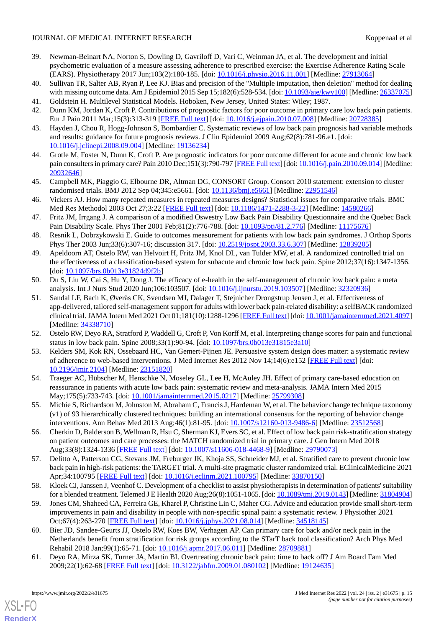# JOURNAL OF MEDICAL INTERNET RESEARCH KOPPEN ASSEMBLISHED ASSEMBLISHED ASSEMBLISHED ASSEMBLISHED ASSEMBLISHED ASSEMBLISHED ASSEMBLISHED ASSEMBLISHED ASSEMBLISHED ASSEMBLISHED ASSEMBLISHED ASSEMBLISHED ASSEMBLISHED ASSEMBLIS

- <span id="page-14-0"></span>39. Newman-Beinart NA, Norton S, Dowling D, Gavriloff D, Vari C, Weinman JA, et al. The development and initial psychometric evaluation of a measure assessing adherence to prescribed exercise: the Exercise Adherence Rating Scale (EARS). Physiotherapy 2017 Jun;103(2):180-185. [doi: [10.1016/j.physio.2016.11.001](http://dx.doi.org/10.1016/j.physio.2016.11.001)] [Medline: [27913064](http://www.ncbi.nlm.nih.gov/entrez/query.fcgi?cmd=Retrieve&db=PubMed&list_uids=27913064&dopt=Abstract)]
- <span id="page-14-2"></span><span id="page-14-1"></span>40. Sullivan TR, Salter AB, Ryan P, Lee KJ. Bias and precision of the "Multiple imputation, then deletion" method for dealing with missing outcome data. Am J Epidemiol 2015 Sep 15;182(6):528-534. [doi: [10.1093/aje/kwv100](http://dx.doi.org/10.1093/aje/kwv100)] [Medline: [26337075\]](http://www.ncbi.nlm.nih.gov/entrez/query.fcgi?cmd=Retrieve&db=PubMed&list_uids=26337075&dopt=Abstract)
- <span id="page-14-3"></span>41. Goldstein H. Multilevel Statistical Models. Hoboken, New Jersey, United States: Wiley; 1987.
- 42. Dunn KM, Jordan K, Croft P. Contributions of prognostic factors for poor outcome in primary care low back pain patients. Eur J Pain 2011 Mar;15(3):313-319 [[FREE Full text\]](http://europepmc.org/abstract/MED/20728385) [doi: [10.1016/j.ejpain.2010.07.008\]](http://dx.doi.org/10.1016/j.ejpain.2010.07.008) [Medline: [20728385](http://www.ncbi.nlm.nih.gov/entrez/query.fcgi?cmd=Retrieve&db=PubMed&list_uids=20728385&dopt=Abstract)]
- <span id="page-14-4"></span>43. Hayden J, Chou R, Hogg-Johnson S, Bombardier C. Systematic reviews of low back pain prognosis had variable methods and results: guidance for future prognosis reviews. J Clin Epidemiol 2009 Aug;62(8):781-96.e1. [doi: [10.1016/j.jclinepi.2008.09.004\]](http://dx.doi.org/10.1016/j.jclinepi.2008.09.004) [Medline: [19136234](http://www.ncbi.nlm.nih.gov/entrez/query.fcgi?cmd=Retrieve&db=PubMed&list_uids=19136234&dopt=Abstract)]
- <span id="page-14-5"></span>44. Grotle M, Foster N, Dunn K, Croft P. Are prognostic indicators for poor outcome different for acute and chronic low back pain consulters in primary care? Pain 2010 Dec;151(3):790-797 [[FREE Full text\]](http://europepmc.org/abstract/MED/20932646) [doi: [10.1016/j.pain.2010.09.014](http://dx.doi.org/10.1016/j.pain.2010.09.014)] [Medline: [20932646](http://www.ncbi.nlm.nih.gov/entrez/query.fcgi?cmd=Retrieve&db=PubMed&list_uids=20932646&dopt=Abstract)]
- <span id="page-14-6"></span>45. Campbell MK, Piaggio G, Elbourne DR, Altman DG, CONSORT Group. Consort 2010 statement: extension to cluster randomised trials. BMJ 2012 Sep 04;345:e5661. [doi: [10.1136/bmj.e5661\]](http://dx.doi.org/10.1136/bmj.e5661) [Medline: [22951546\]](http://www.ncbi.nlm.nih.gov/entrez/query.fcgi?cmd=Retrieve&db=PubMed&list_uids=22951546&dopt=Abstract)
- <span id="page-14-7"></span>46. Vickers AJ. How many repeated measures in repeated measures designs? Statistical issues for comparative trials. BMC Med Res Methodol 2003 Oct 27;3:22 [\[FREE Full text](https://bmcmedresmethodol.biomedcentral.com/articles/10.1186/1471-2288-3-22)] [doi: [10.1186/1471-2288-3-22\]](http://dx.doi.org/10.1186/1471-2288-3-22) [Medline: [14580266\]](http://www.ncbi.nlm.nih.gov/entrez/query.fcgi?cmd=Retrieve&db=PubMed&list_uids=14580266&dopt=Abstract)
- <span id="page-14-8"></span>47. Fritz JM, Irrgang J. A comparison of a modified Oswestry Low Back Pain Disability Questionnaire and the Quebec Back Pain Disability Scale. Phys Ther 2001 Feb;81(2):776-788. [doi: [10.1093/ptj/81.2.776\]](http://dx.doi.org/10.1093/ptj/81.2.776) [Medline: [11175676](http://www.ncbi.nlm.nih.gov/entrez/query.fcgi?cmd=Retrieve&db=PubMed&list_uids=11175676&dopt=Abstract)]
- <span id="page-14-9"></span>48. Resnik L, Dobrzykowski E. Guide to outcomes measurement for patients with low back pain syndromes. J Orthop Sports Phys Ther 2003 Jun;33(6):307-16; discussion 317. [doi: [10.2519/jospt.2003.33.6.307](http://dx.doi.org/10.2519/jospt.2003.33.6.307)] [Medline: [12839205](http://www.ncbi.nlm.nih.gov/entrez/query.fcgi?cmd=Retrieve&db=PubMed&list_uids=12839205&dopt=Abstract)]
- <span id="page-14-10"></span>49. Apeldoorn AT, Ostelo RW, van Helvoirt H, Fritz JM, Knol DL, van Tulder MW, et al. A randomized controlled trial on the effectiveness of a classification-based system for subacute and chronic low back pain. Spine 2012;37(16):1347-1356. [doi: [10.1097/brs.0b013e31824d9f2b\]](http://dx.doi.org/10.1097/brs.0b013e31824d9f2b)
- <span id="page-14-11"></span>50. Du S, Liu W, Cai S, Hu Y, Dong J. The efficacy of e-health in the self-management of chronic low back pain: a meta analysis. Int J Nurs Stud 2020 Jun;106:103507. [doi: [10.1016/j.ijnurstu.2019.103507\]](http://dx.doi.org/10.1016/j.ijnurstu.2019.103507) [Medline: [32320936\]](http://www.ncbi.nlm.nih.gov/entrez/query.fcgi?cmd=Retrieve&db=PubMed&list_uids=32320936&dopt=Abstract)
- <span id="page-14-12"></span>51. Sandal LF, Bach K, Øverås CK, Svendsen MJ, Dalager T, Stejnicher Drongstrup Jensen J, et al. Effectiveness of app-delivered, tailored self-management support for adults with lower back pain-related disability: a selfBACK randomized clinical trial. JAMA Intern Med 2021 Oct 01;181(10):1288-1296 [[FREE Full text](http://europepmc.org/abstract/MED/34338710)] [doi: [10.1001/jamainternmed.2021.4097\]](http://dx.doi.org/10.1001/jamainternmed.2021.4097) [Medline: [34338710](http://www.ncbi.nlm.nih.gov/entrez/query.fcgi?cmd=Retrieve&db=PubMed&list_uids=34338710&dopt=Abstract)]
- <span id="page-14-14"></span><span id="page-14-13"></span>52. Ostelo RW, Deyo RA, Stratford P, Waddell G, Croft P, Von Korff M, et al. Interpreting change scores for pain and functional status in low back pain. Spine 2008;33(1):90-94. [doi: [10.1097/brs.0b013e31815e3a10\]](http://dx.doi.org/10.1097/brs.0b013e31815e3a10)
- 53. Kelders SM, Kok RN, Ossebaard HC, Van Gemert-Pijnen JE. Persuasive system design does matter: a systematic review of adherence to web-based interventions. J Med Internet Res 2012 Nov 14;14(6):e152 [[FREE Full text](https://www.jmir.org/2012/6/e152/)] [doi: [10.2196/jmir.2104](http://dx.doi.org/10.2196/jmir.2104)] [Medline: [23151820](http://www.ncbi.nlm.nih.gov/entrez/query.fcgi?cmd=Retrieve&db=PubMed&list_uids=23151820&dopt=Abstract)]
- <span id="page-14-16"></span><span id="page-14-15"></span>54. Traeger AC, Hübscher M, Henschke N, Moseley GL, Lee H, McAuley JH. Effect of primary care-based education on reassurance in patients with acute low back pain: systematic review and meta-analysis. JAMA Intern Med 2015 May;175(5):733-743. [doi: [10.1001/jamainternmed.2015.0217](http://dx.doi.org/10.1001/jamainternmed.2015.0217)] [Medline: [25799308\]](http://www.ncbi.nlm.nih.gov/entrez/query.fcgi?cmd=Retrieve&db=PubMed&list_uids=25799308&dopt=Abstract)
- <span id="page-14-17"></span>55. Michie S, Richardson M, Johnston M, Abraham C, Francis J, Hardeman W, et al. The behavior change technique taxonomy (v1) of 93 hierarchically clustered techniques: building an international consensus for the reporting of behavior change interventions. Ann Behav Med 2013 Aug;46(1):81-95. [doi: [10.1007/s12160-013-9486-6\]](http://dx.doi.org/10.1007/s12160-013-9486-6) [Medline: [23512568\]](http://www.ncbi.nlm.nih.gov/entrez/query.fcgi?cmd=Retrieve&db=PubMed&list_uids=23512568&dopt=Abstract)
- <span id="page-14-18"></span>56. Cherkin D, Balderson B, Wellman R, Hsu C, Sherman KJ, Evers SC, et al. Effect of low back pain risk-stratification strategy on patient outcomes and care processes: the MATCH randomized trial in primary care. J Gen Intern Med 2018 Aug;33(8):1324-1336 [\[FREE Full text](http://europepmc.org/abstract/MED/29790073)] [doi: [10.1007/s11606-018-4468-9\]](http://dx.doi.org/10.1007/s11606-018-4468-9) [Medline: [29790073\]](http://www.ncbi.nlm.nih.gov/entrez/query.fcgi?cmd=Retrieve&db=PubMed&list_uids=29790073&dopt=Abstract)
- <span id="page-14-19"></span>57. Delitto A, Patterson CG, Stevans JM, Freburger JK, Khoja SS, Schneider MJ, et al. Stratified care to prevent chronic low back pain in high-risk patients: the TARGET trial. A multi-site pragmatic cluster randomized trial. EClinicalMedicine 2021 Apr;34:100795 [[FREE Full text\]](https://linkinghub.elsevier.com/retrieve/pii/S2589-5370(21)00075-4) [doi: [10.1016/j.eclinm.2021.100795\]](http://dx.doi.org/10.1016/j.eclinm.2021.100795) [Medline: [33870150\]](http://www.ncbi.nlm.nih.gov/entrez/query.fcgi?cmd=Retrieve&db=PubMed&list_uids=33870150&dopt=Abstract)
- <span id="page-14-20"></span>58. Kloek CJ, Janssen J, Veenhof C. Development of a checklist to assist physiotherapists in determination of patients' suitability for a blended treatment. Telemed J E Health 2020 Aug;26(8):1051-1065. [doi: [10.1089/tmj.2019.0143\]](http://dx.doi.org/10.1089/tmj.2019.0143) [Medline: [31804904](http://www.ncbi.nlm.nih.gov/entrez/query.fcgi?cmd=Retrieve&db=PubMed&list_uids=31804904&dopt=Abstract)]
- <span id="page-14-21"></span>59. Jones CM, Shaheed CA, Ferreira GE, Kharel P, Christine Lin C, Maher CG. Advice and education provide small short-term improvements in pain and disability in people with non-specific spinal pain: a systematic review. J Physiother 2021 Oct;67(4):263-270 [\[FREE Full text\]](https://linkinghub.elsevier.com/retrieve/pii/S1836-9553(21)00094-1) [doi: [10.1016/j.jphys.2021.08.014\]](http://dx.doi.org/10.1016/j.jphys.2021.08.014) [Medline: [34518145](http://www.ncbi.nlm.nih.gov/entrez/query.fcgi?cmd=Retrieve&db=PubMed&list_uids=34518145&dopt=Abstract)]
- 60. Bier JD, Sandee-Geurts JJ, Ostelo RW, Koes BW, Verhagen AP. Can primary care for back and/or neck pain in the Netherlands benefit from stratification for risk groups according to the STarT back tool classification? Arch Phys Med Rehabil 2018 Jan;99(1):65-71. [doi: [10.1016/j.apmr.2017.06.011\]](http://dx.doi.org/10.1016/j.apmr.2017.06.011) [Medline: [28709881\]](http://www.ncbi.nlm.nih.gov/entrez/query.fcgi?cmd=Retrieve&db=PubMed&list_uids=28709881&dopt=Abstract)
- 61. Deyo RA, Mirza SK, Turner JA, Martin BI. Overtreating chronic back pain: time to back off? J Am Board Fam Med 2009;22(1):62-68 [[FREE Full text](http://www.jabfm.org/cgi/pmidlookup?view=long&pmid=19124635)] [doi: [10.3122/jabfm.2009.01.080102\]](http://dx.doi.org/10.3122/jabfm.2009.01.080102) [Medline: [19124635](http://www.ncbi.nlm.nih.gov/entrez/query.fcgi?cmd=Retrieve&db=PubMed&list_uids=19124635&dopt=Abstract)]